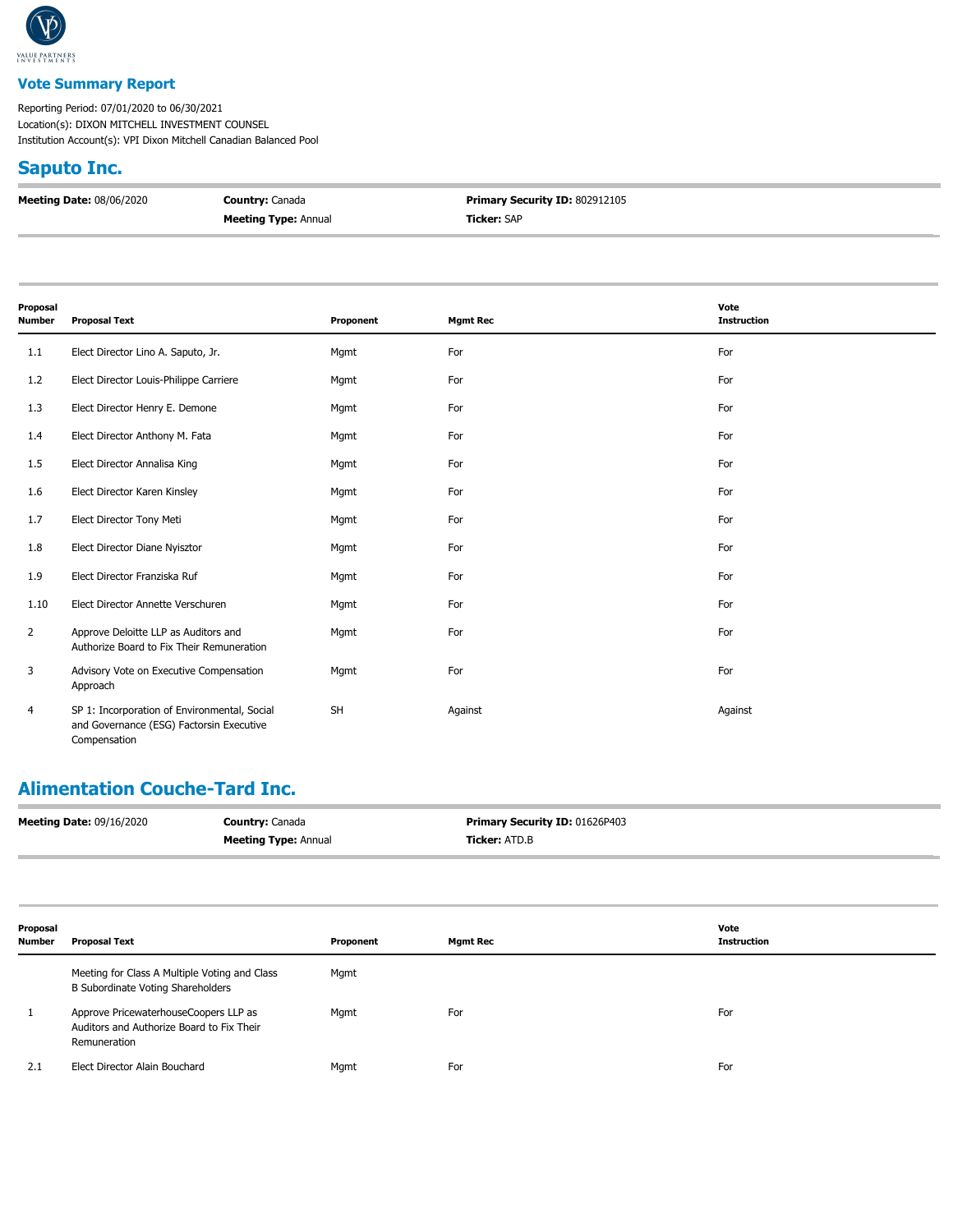

#### **Vote Summary Report**

Reporting Period: 07/01/2020 to 06/30/2021 Location(s): DIXON MITCHELL INVESTMENT COUNSEL Institution Account(s): VPI Dixon Mitchell Canadian Balanced Pool

#### **Saputo Inc.**

| <b>Meeting Date: 08/06/2020</b> | <b>Country: Canada</b>      | <b>Primary Security ID: 802912105</b> |
|---------------------------------|-----------------------------|---------------------------------------|
|                                 | <b>Meeting Type: Annual</b> | <b>Ticker: SAP</b>                    |

| Proposal       |                                                                                                          |           |                 | Vote               |
|----------------|----------------------------------------------------------------------------------------------------------|-----------|-----------------|--------------------|
| Number         | <b>Proposal Text</b>                                                                                     | Proponent | <b>Mgmt Rec</b> | <b>Instruction</b> |
| 1.1            | Elect Director Lino A. Saputo, Jr.                                                                       | Mgmt      | For             | For                |
| 1.2            | Elect Director Louis-Philippe Carriere                                                                   | Mgmt      | For             | For                |
| 1.3            | Elect Director Henry E. Demone                                                                           | Mgmt      | For             | For                |
| 1.4            | Elect Director Anthony M. Fata                                                                           | Mgmt      | For             | For                |
| 1.5            | Elect Director Annalisa King                                                                             | Mgmt      | For             | For                |
| 1.6            | Elect Director Karen Kinsley                                                                             | Mgmt      | For             | For                |
| 1.7            | Elect Director Tony Meti                                                                                 | Mgmt      | For             | For                |
| 1.8            | Elect Director Diane Nyisztor                                                                            | Mgmt      | For             | For                |
| 1.9            | Elect Director Franziska Ruf                                                                             | Mgmt      | For             | For                |
| 1.10           | Elect Director Annette Verschuren                                                                        | Mgmt      | For             | For                |
| $\overline{2}$ | Approve Deloitte LLP as Auditors and<br>Authorize Board to Fix Their Remuneration                        | Mgmt      | For             | For                |
| 3              | Advisory Vote on Executive Compensation<br>Approach                                                      | Mgmt      | For             | For                |
| 4              | SP 1: Incorporation of Environmental, Social<br>and Governance (ESG) Factorsin Executive<br>Compensation | <b>SH</b> | Against         | Against            |

# **Alimentation Couche-Tard Inc.**

| <b>Meeting Date: 09/16/2020</b> | <b>Country: Canada</b>      | Primary Security ID: 01626P403 |
|---------------------------------|-----------------------------|--------------------------------|
|                                 | <b>Meeting Type: Annual</b> | Ticker: ATD.B                  |

| Proposal<br><b>Number</b> | <b>Proposal Text</b>                                                                               | Proponent | <b>Mgmt Rec</b> | Vote<br><b>Instruction</b> |
|---------------------------|----------------------------------------------------------------------------------------------------|-----------|-----------------|----------------------------|
|                           | Meeting for Class A Multiple Voting and Class<br>B Subordinate Voting Shareholders                 | Mgmt      |                 |                            |
|                           | Approve PricewaterhouseCoopers LLP as<br>Auditors and Authorize Board to Fix Their<br>Remuneration | Mgmt      | For             | For                        |
| 2.1                       | Elect Director Alain Bouchard                                                                      | Mgmt      | For             | For                        |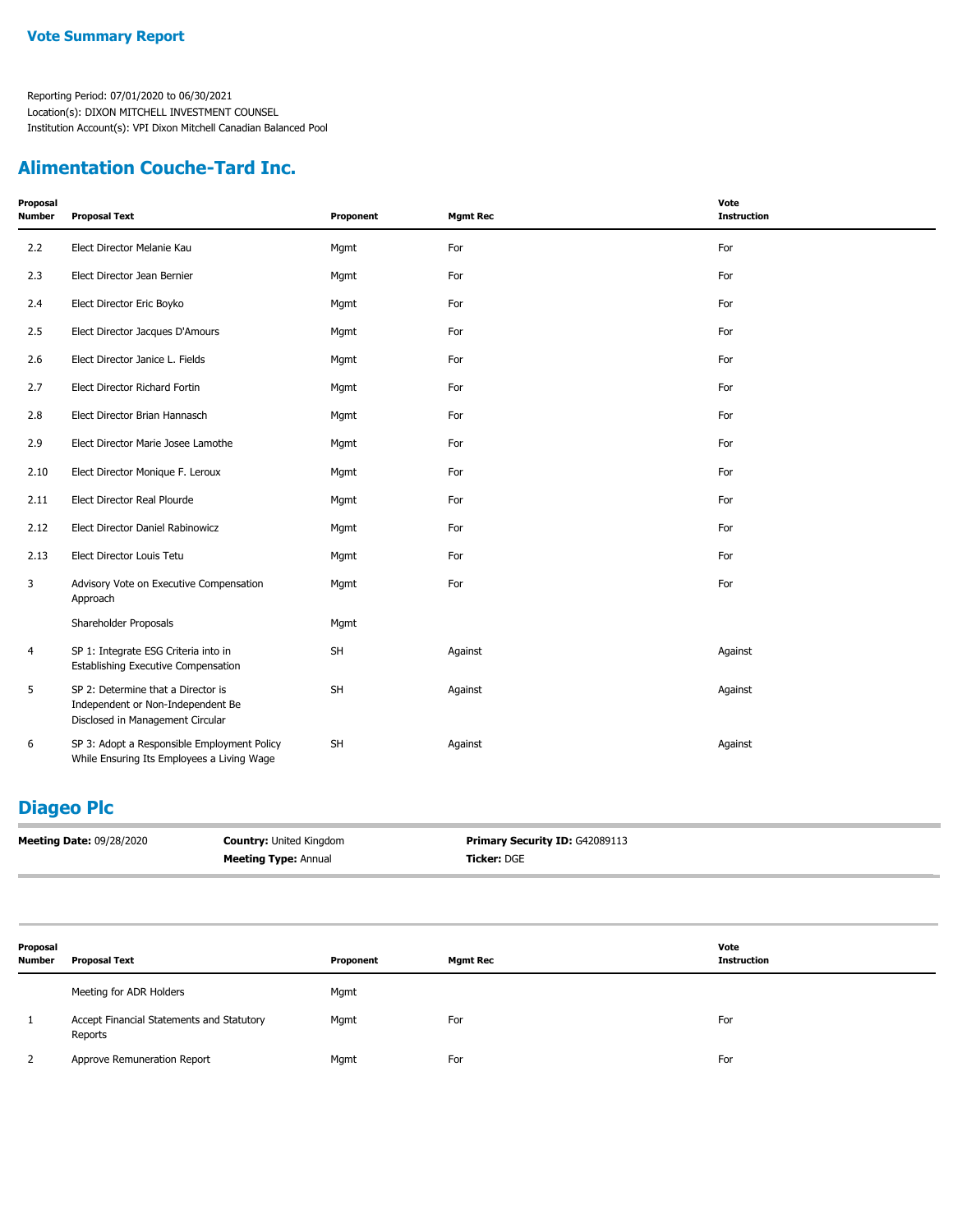## **Alimentation Couche-Tard Inc.**

| Proposal<br>Number | <b>Proposal Text</b>                                                                                        | Proponent | <b>Mgmt Rec</b> | Vote<br><b>Instruction</b> |
|--------------------|-------------------------------------------------------------------------------------------------------------|-----------|-----------------|----------------------------|
| 2.2                | Elect Director Melanie Kau                                                                                  | Mgmt      | For             | For                        |
| 2.3                | Elect Director Jean Bernier                                                                                 | Mgmt      | For             | For                        |
| 2.4                | Elect Director Eric Boyko                                                                                   | Mgmt      | For             | For                        |
| 2.5                | Elect Director Jacques D'Amours                                                                             | Mgmt      | For             | For                        |
| 2.6                | Elect Director Janice L. Fields                                                                             | Mgmt      | For             | For                        |
| 2.7                | Elect Director Richard Fortin                                                                               | Mgmt      | For             | For                        |
| 2.8                | Elect Director Brian Hannasch                                                                               | Mgmt      | For             | For                        |
| 2.9                | Elect Director Marie Josee Lamothe                                                                          | Mgmt      | For             | For                        |
| 2.10               | Elect Director Monique F. Leroux                                                                            | Mgmt      | For             | For                        |
| 2.11               | Elect Director Real Plourde                                                                                 | Mgmt      | For             | For                        |
| 2.12               | Elect Director Daniel Rabinowicz                                                                            | Mgmt      | For             | For                        |
| 2.13               | Elect Director Louis Tetu                                                                                   | Mgmt      | For             | For                        |
| 3                  | Advisory Vote on Executive Compensation<br>Approach                                                         | Mgmt      | For             | For                        |
|                    | Shareholder Proposals                                                                                       | Mgmt      |                 |                            |
| 4                  | SP 1: Integrate ESG Criteria into in<br><b>Establishing Executive Compensation</b>                          | <b>SH</b> | Against         | Against                    |
| 5                  | SP 2: Determine that a Director is<br>Independent or Non-Independent Be<br>Disclosed in Management Circular | <b>SH</b> | Against         | Against                    |
| 6                  | SP 3: Adopt a Responsible Employment Policy<br>While Ensuring Its Employees a Living Wage                   | <b>SH</b> | Against         | Against                    |

# **Diageo Plc**

| <b>Meeting Date: 09/28/2020</b> | <b>Country: United Kingdom</b> | <b>Primary Security ID: G42089113</b> |
|---------------------------------|--------------------------------|---------------------------------------|
|                                 | <b>Meeting Type: Annual</b>    | <b>Ticker: DGE</b>                    |

| Proposal<br><b>Number</b> | <b>Proposal Text</b>                                 | Proponent | <b>Mgmt Rec</b> | Vote<br><b>Instruction</b> |
|---------------------------|------------------------------------------------------|-----------|-----------------|----------------------------|
|                           | Meeting for ADR Holders                              | Mgmt      |                 |                            |
|                           | Accept Financial Statements and Statutory<br>Reports | Mgmt      | For             | For                        |
|                           | Approve Remuneration Report                          | Mgmt      | For             | For                        |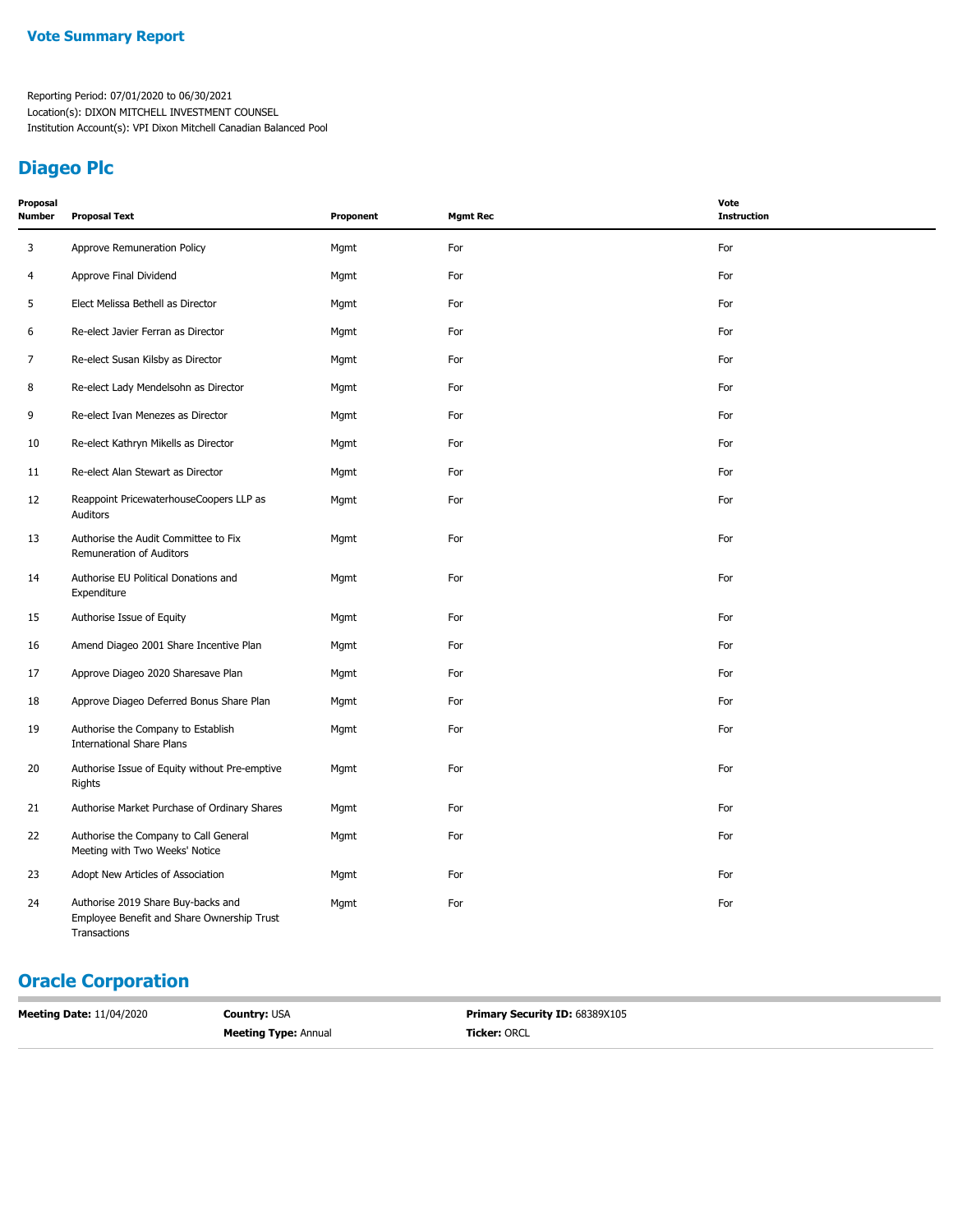## **Diageo Plc**

| Proposal<br>Number | <b>Proposal Text</b>                                                                             | Proponent | <b>Mgmt Rec</b> | Vote<br><b>Instruction</b> |
|--------------------|--------------------------------------------------------------------------------------------------|-----------|-----------------|----------------------------|
| 3                  | Approve Remuneration Policy                                                                      | Mgmt      | For             | For                        |
| 4                  | Approve Final Dividend                                                                           | Mgmt      | For             | For                        |
| 5                  | Elect Melissa Bethell as Director                                                                | Mgmt      | For             | For                        |
| 6                  | Re-elect Javier Ferran as Director                                                               | Mgmt      | For             | For                        |
| 7                  | Re-elect Susan Kilsby as Director                                                                | Mgmt      | For             | For                        |
| 8                  | Re-elect Lady Mendelsohn as Director                                                             | Mgmt      | For             | For                        |
| 9                  | Re-elect Ivan Menezes as Director                                                                | Mgmt      | For             | For                        |
| 10                 | Re-elect Kathryn Mikells as Director                                                             | Mgmt      | For             | For                        |
| 11                 | Re-elect Alan Stewart as Director                                                                | Mgmt      | For             | For                        |
| 12                 | Reappoint PricewaterhouseCoopers LLP as<br>Auditors                                              | Mgmt      | For             | For                        |
| 13                 | Authorise the Audit Committee to Fix<br>Remuneration of Auditors                                 | Mgmt      | For             | For                        |
| 14                 | Authorise EU Political Donations and<br>Expenditure                                              | Mgmt      | For             | For                        |
| 15                 | Authorise Issue of Equity                                                                        | Mgmt      | For             | For                        |
| 16                 | Amend Diageo 2001 Share Incentive Plan                                                           | Mgmt      | For             | For                        |
| 17                 | Approve Diageo 2020 Sharesave Plan                                                               | Mgmt      | For             | For                        |
| 18                 | Approve Diageo Deferred Bonus Share Plan                                                         | Mgmt      | For             | For                        |
| 19                 | Authorise the Company to Establish<br><b>International Share Plans</b>                           | Mgmt      | For             | For                        |
| 20                 | Authorise Issue of Equity without Pre-emptive<br>Rights                                          | Mgmt      | For             | For                        |
| 21                 | Authorise Market Purchase of Ordinary Shares                                                     | Mgmt      | For             | For                        |
| 22                 | Authorise the Company to Call General<br>Meeting with Two Weeks' Notice                          | Mgmt      | For             | For                        |
| 23                 | Adopt New Articles of Association                                                                | Mgmt      | For             | For                        |
| 24                 | Authorise 2019 Share Buy-backs and<br>Employee Benefit and Share Ownership Trust<br>Transactions | Mgmt      | For             | For                        |

# **Oracle Corporation**

| <b>Ticker: ORCL</b><br><b>Meeting Type: Annual</b> | <b>Primary Security ID: 68389X105</b> |
|----------------------------------------------------|---------------------------------------|
|                                                    |                                       |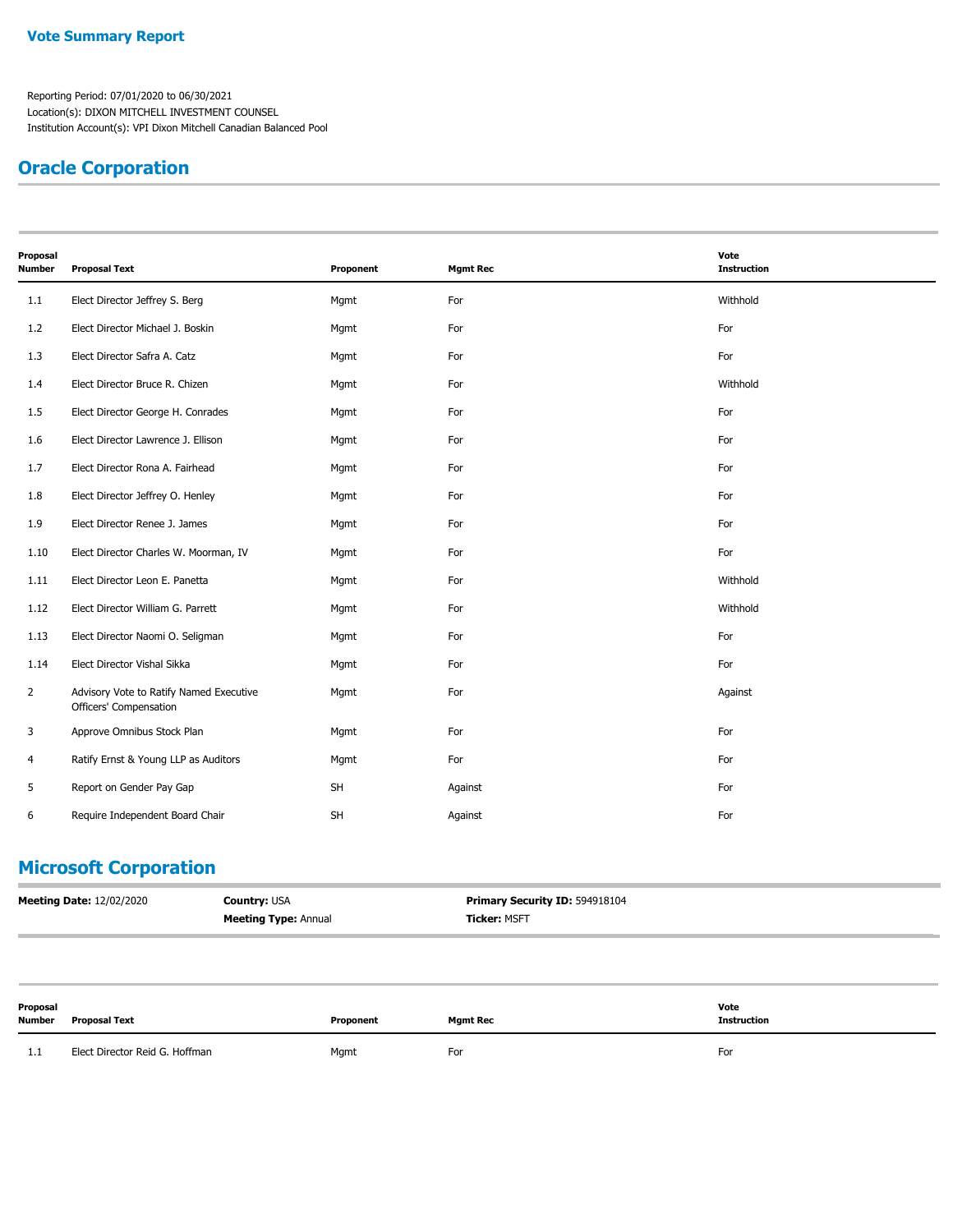# **Oracle Corporation**

| Proposal<br><b>Number</b> | <b>Proposal Text</b>                                              | Proponent | <b>Mgmt Rec</b> | Vote<br><b>Instruction</b> |
|---------------------------|-------------------------------------------------------------------|-----------|-----------------|----------------------------|
| 1.1                       | Elect Director Jeffrey S. Berg                                    | Mgmt      | For             | Withhold                   |
| 1.2                       | Elect Director Michael J. Boskin                                  | Mgmt      | For             | For                        |
| 1.3                       | Elect Director Safra A. Catz                                      | Mgmt      | For             | For                        |
| 1.4                       | Elect Director Bruce R. Chizen                                    | Mgmt      | For             | Withhold                   |
| 1.5                       | Elect Director George H. Conrades                                 | Mgmt      | For             | For                        |
| 1.6                       | Elect Director Lawrence J. Ellison                                | Mgmt      | For             | For                        |
| 1.7                       | Elect Director Rona A. Fairhead                                   | Mgmt      | For             | For                        |
| 1.8                       | Elect Director Jeffrey O. Henley                                  | Mgmt      | For             | For                        |
| 1.9                       | Elect Director Renee J. James                                     | Mgmt      | For             | For                        |
| 1.10                      | Elect Director Charles W. Moorman, IV                             | Mgmt      | For             | For                        |
| 1.11                      | Elect Director Leon E. Panetta                                    | Mgmt      | For             | Withhold                   |
| 1.12                      | Elect Director William G. Parrett                                 | Mgmt      | For             | Withhold                   |
| 1.13                      | Elect Director Naomi O. Seligman                                  | Mgmt      | For             | For                        |
| 1.14                      | Elect Director Vishal Sikka                                       | Mgmt      | For             | For                        |
| $\overline{2}$            | Advisory Vote to Ratify Named Executive<br>Officers' Compensation | Mgmt      | For             | Against                    |
| 3                         | Approve Omnibus Stock Plan                                        | Mgmt      | For             | For                        |
| 4                         | Ratify Ernst & Young LLP as Auditors                              | Mgmt      | For             | For                        |
| 5                         | Report on Gender Pay Gap                                          | SH        | Against         | For                        |
| 6                         | Require Independent Board Chair                                   | <b>SH</b> | Against         | For                        |

## **Microsoft Corporation**

| <b>Meeting Date: 12/02/2020</b> | <b>Country:</b> USA         | Primary Security ID: 594918104 |
|---------------------------------|-----------------------------|--------------------------------|
|                                 | <b>Meeting Type: Annual</b> | <b>Ticker: MSFT</b>            |

| Proposal<br><b>Number</b> | <b>Proposal Text</b>           | Proponent | Mgmt Rec | Vote<br><b>Instruction</b> |
|---------------------------|--------------------------------|-----------|----------|----------------------------|
| 1.1                       | Elect Director Reid G. Hoffman | Mgmt      | For      | For                        |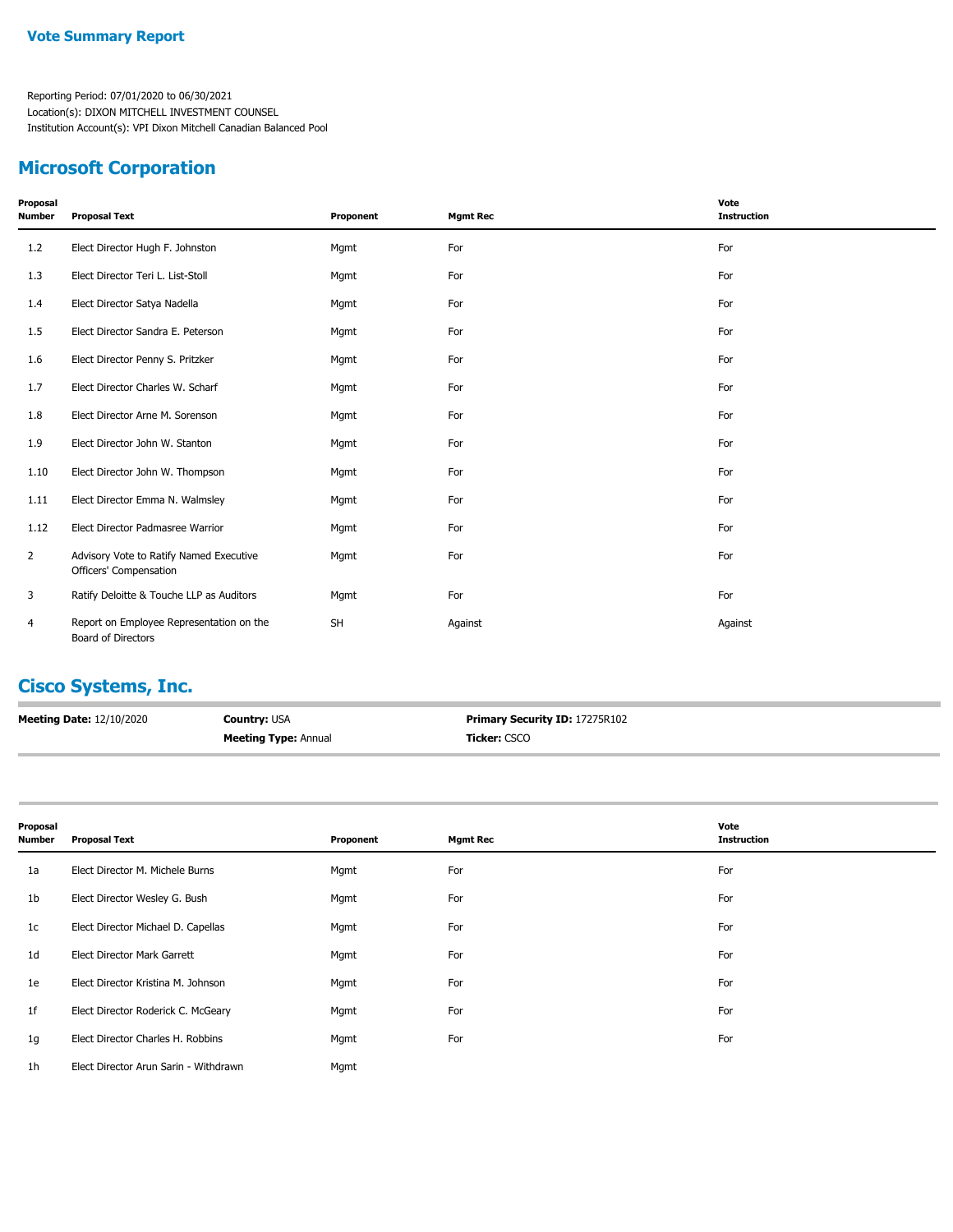### **Microsoft Corporation**

| Proposal<br><b>Number</b> | <b>Proposal Text</b>                                              | Proponent | <b>Mgmt Rec</b> | Vote<br><b>Instruction</b> |
|---------------------------|-------------------------------------------------------------------|-----------|-----------------|----------------------------|
| 1.2                       | Elect Director Hugh F. Johnston                                   | Mgmt      | For             | For                        |
| 1.3                       | Elect Director Teri L. List-Stoll                                 | Mgmt      | For             | For                        |
| 1.4                       | Elect Director Satya Nadella                                      | Mgmt      | For             | For                        |
| 1.5                       | Elect Director Sandra E. Peterson                                 | Mgmt      | For             | For                        |
| 1.6                       | Elect Director Penny S. Pritzker                                  | Mgmt      | For             | For                        |
| 1.7                       | Elect Director Charles W. Scharf                                  | Mgmt      | For             | For                        |
| 1.8                       | Elect Director Arne M. Sorenson                                   | Mgmt      | For             | For                        |
| 1.9                       | Elect Director John W. Stanton                                    | Mgmt      | For             | For                        |
| 1.10                      | Elect Director John W. Thompson                                   | Mgmt      | For             | For                        |
| 1.11                      | Elect Director Emma N. Walmsley                                   | Mgmt      | For             | For                        |
| 1.12                      | Elect Director Padmasree Warrior                                  | Mgmt      | For             | For                        |
| $\overline{2}$            | Advisory Vote to Ratify Named Executive<br>Officers' Compensation | Mgmt      | For             | For                        |
| 3                         | Ratify Deloitte & Touche LLP as Auditors                          | Mgmt      | For             | For                        |
| 4                         | Report on Employee Representation on the<br>Board of Directors    | <b>SH</b> | Against         | Against                    |

# **Cisco Systems, Inc.**

| <b>Meeting Date: 12/10/2020</b> | <b>Country: USA</b>         | <b>Primary Security ID: 17275R102</b> |
|---------------------------------|-----------------------------|---------------------------------------|
|                                 | <b>Meeting Type: Annual</b> | <b>Ticker:</b> CSCO                   |

| Proposal<br><b>Number</b> | <b>Proposal Text</b>                  | Proponent | <b>Mgmt Rec</b> | Vote<br><b>Instruction</b> |
|---------------------------|---------------------------------------|-----------|-----------------|----------------------------|
| 1a                        | Elect Director M. Michele Burns       | Mgmt      | For             | For                        |
| 1b                        | Elect Director Wesley G. Bush         | Mgmt      | For             | For                        |
| 1c                        | Elect Director Michael D. Capellas    | Mgmt      | For             | For                        |
| 1d                        | Elect Director Mark Garrett           | Mgmt      | For             | For                        |
| 1e                        | Elect Director Kristina M. Johnson    | Mgmt      | For             | For                        |
| 1 <sup>f</sup>            | Elect Director Roderick C. McGeary    | Mgmt      | For             | For                        |
| 1g                        | Elect Director Charles H. Robbins     | Mgmt      | For             | For                        |
| 1 <sub>h</sub>            | Elect Director Arun Sarin - Withdrawn | Mgmt      |                 |                            |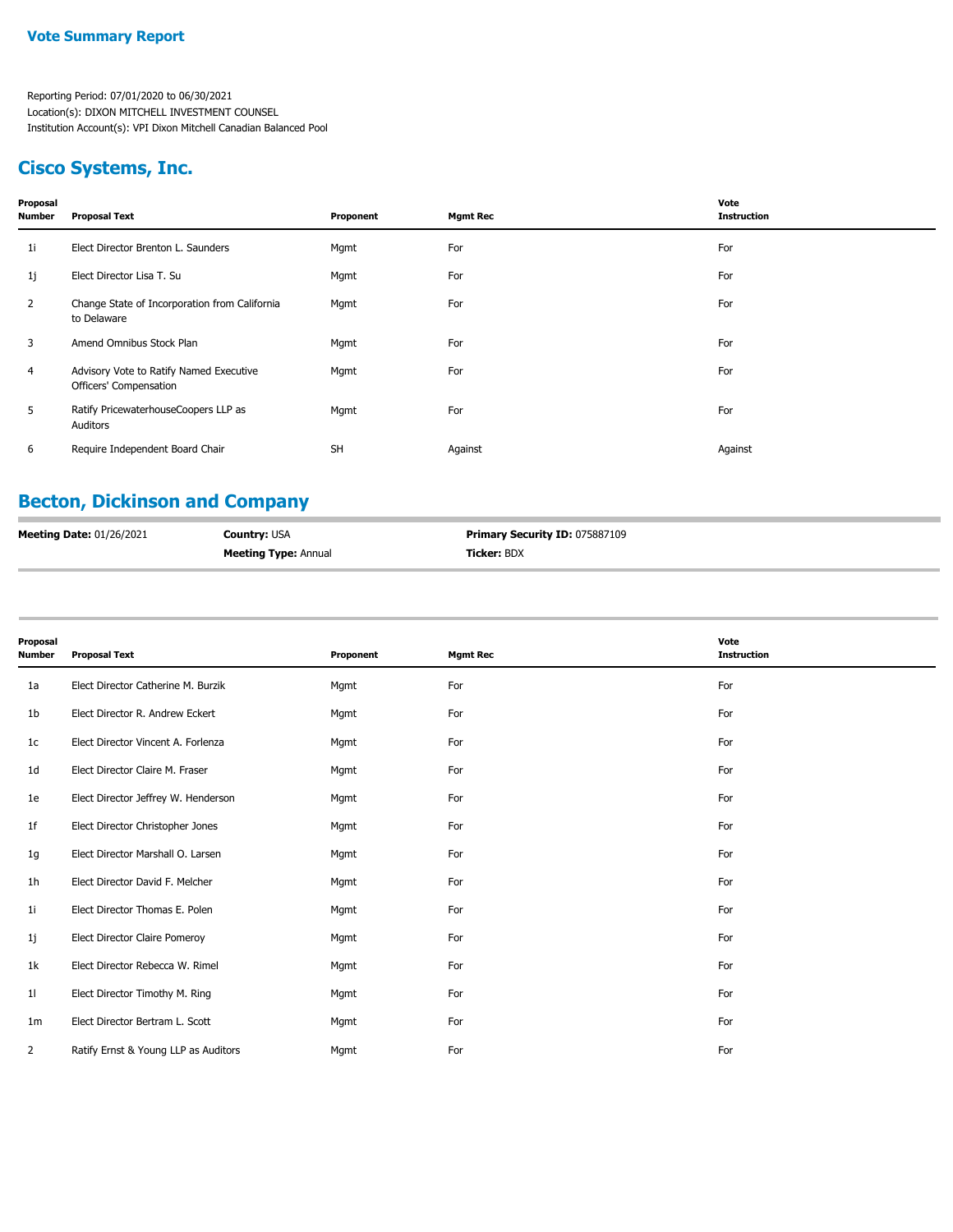## **Cisco Systems, Inc.**

| Proposal<br><b>Number</b> | <b>Proposal Text</b>                                              | Proponent | <b>Mgmt Rec</b> | Vote<br><b>Instruction</b> |
|---------------------------|-------------------------------------------------------------------|-----------|-----------------|----------------------------|
| 11                        | Elect Director Brenton L. Saunders                                | Mgmt      | For             | For                        |
| 1j                        | Elect Director Lisa T. Su                                         | Mgmt      | For             | For                        |
| 2                         | Change State of Incorporation from California<br>to Delaware      | Mgmt      | For             | For                        |
| 3                         | Amend Omnibus Stock Plan                                          | Mgmt      | For             | For                        |
| $\overline{4}$            | Advisory Vote to Ratify Named Executive<br>Officers' Compensation | Mgmt      | For             | For                        |
| 5                         | Ratify PricewaterhouseCoopers LLP as<br>Auditors                  | Mgmt      | For             | For                        |
| 6                         | Require Independent Board Chair                                   | <b>SH</b> | Against         | Against                    |
|                           |                                                                   |           |                 |                            |

### **Becton, Dickinson and Company**

| <b>Meeting Date: 01/26/2021</b> | <b>Country: USA</b>         | <b>Primary Security ID: 075887109</b> |
|---------------------------------|-----------------------------|---------------------------------------|
|                                 | <b>Meeting Type: Annual</b> | <b>Ticker: BDX</b>                    |

| Proposal<br><b>Number</b> | <b>Proposal Text</b>                 | Proponent | <b>Mgmt Rec</b> | Vote<br><b>Instruction</b> |
|---------------------------|--------------------------------------|-----------|-----------------|----------------------------|
| 1a                        | Elect Director Catherine M. Burzik   | Mgmt      | For             | For                        |
| 1b                        | Elect Director R. Andrew Eckert      | Mgmt      | For             | For                        |
| 1 <sup>c</sup>            | Elect Director Vincent A. Forlenza   | Mgmt      | For             | For                        |
| 1d                        | Elect Director Claire M. Fraser      | Mgmt      | For             | For                        |
| 1e                        | Elect Director Jeffrey W. Henderson  | Mgmt      | For             | For                        |
| 1f                        | Elect Director Christopher Jones     | Mgmt      | For             | For                        |
| 1g                        | Elect Director Marshall O. Larsen    | Mgmt      | For             | For                        |
| 1h                        | Elect Director David F. Melcher      | Mgmt      | For             | For                        |
| 1 <sub>i</sub>            | Elect Director Thomas E. Polen       | Mgmt      | For             | For                        |
| 1j                        | Elect Director Claire Pomeroy        | Mgmt      | For             | For                        |
| 1k                        | Elect Director Rebecca W. Rimel      | Mgmt      | For             | For                        |
| 11                        | Elect Director Timothy M. Ring       | Mgmt      | For             | For                        |
| 1m                        | Elect Director Bertram L. Scott      | Mgmt      | For             | For                        |
| 2                         | Ratify Ernst & Young LLP as Auditors | Mgmt      | For             | For                        |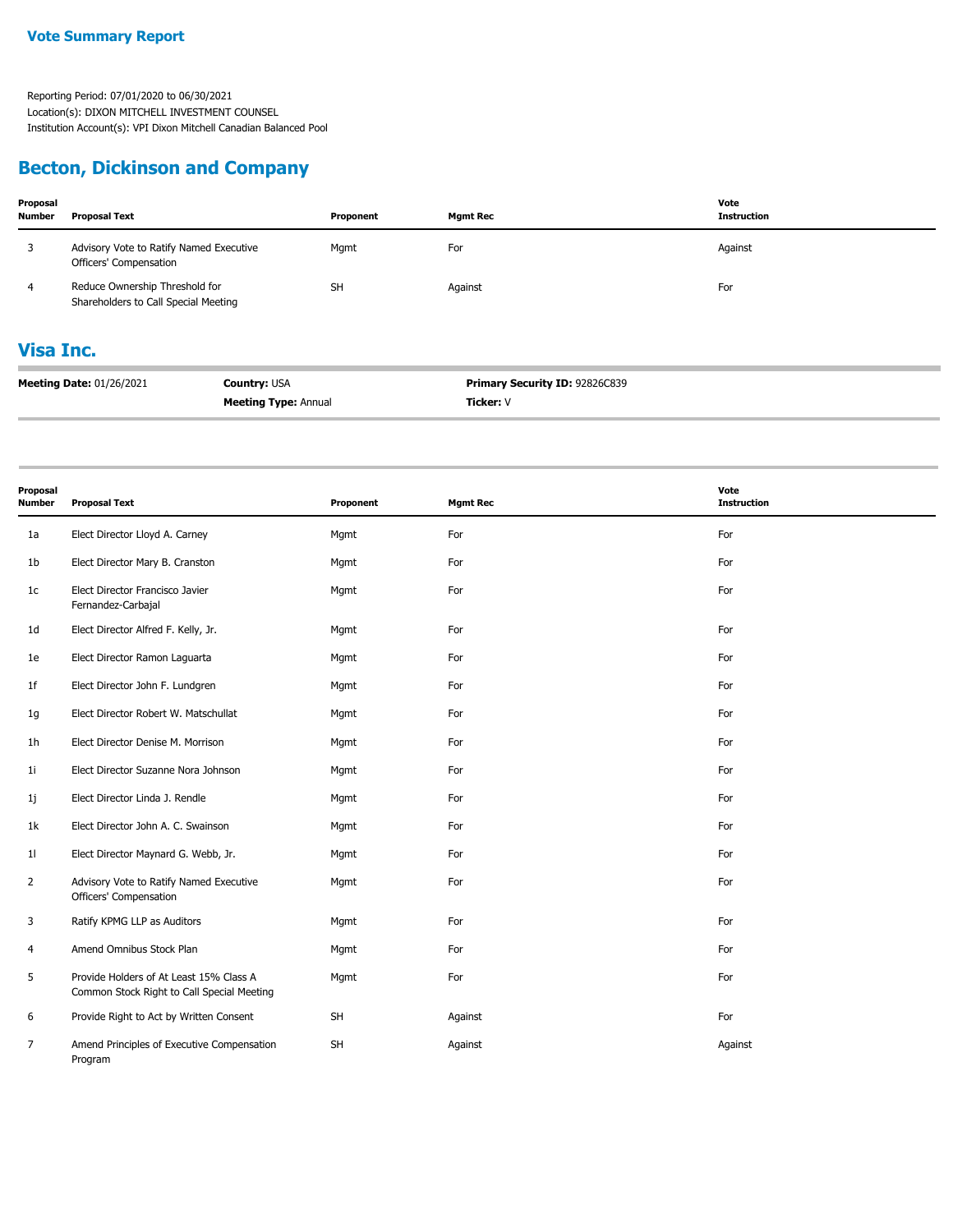## **Becton, Dickinson and Company**

| Proposal<br>Number | <b>Proposal Text</b>                                                   |                             | Proponent | <b>Mgmt Rec</b>                | Vote<br><b>Instruction</b> |  |
|--------------------|------------------------------------------------------------------------|-----------------------------|-----------|--------------------------------|----------------------------|--|
| 3                  | Advisory Vote to Ratify Named Executive<br>Officers' Compensation      |                             | Mgmt      | For                            | Against                    |  |
| 4                  | Reduce Ownership Threshold for<br>Shareholders to Call Special Meeting |                             | <b>SH</b> | Against                        | For                        |  |
| <b>Visa Inc.</b>   |                                                                        |                             |           |                                |                            |  |
|                    | <b>Meeting Date: 01/26/2021</b>                                        | <b>Country: USA</b>         |           | Primary Security ID: 92826C839 |                            |  |
|                    |                                                                        | <b>Meeting Type: Annual</b> |           | Ticker: V                      |                            |  |

| Proposal<br><b>Number</b> | <b>Proposal Text</b>                                                                  | Proponent | <b>Mgmt Rec</b> | Vote<br><b>Instruction</b> |
|---------------------------|---------------------------------------------------------------------------------------|-----------|-----------------|----------------------------|
| 1a                        | Elect Director Lloyd A. Carney                                                        | Mgmt      | For             | For                        |
| 1b                        | Elect Director Mary B. Cranston                                                       | Mgmt      | For             | For                        |
| 1 <sub>c</sub>            | Elect Director Francisco Javier<br>Fernandez-Carbajal                                 | Mgmt      | For             | For                        |
| 1d                        | Elect Director Alfred F. Kelly, Jr.                                                   | Mgmt      | For             | For                        |
| 1e                        | Elect Director Ramon Laguarta                                                         | Mgmt      | For             | For                        |
| 1f                        | Elect Director John F. Lundgren                                                       | Mgmt      | For             | For                        |
| 1g                        | Elect Director Robert W. Matschullat                                                  | Mgmt      | For             | For                        |
| 1 <sub>h</sub>            | Elect Director Denise M. Morrison                                                     | Mgmt      | For             | For                        |
| 1i                        | Elect Director Suzanne Nora Johnson                                                   | Mgmt      | For             | For                        |
| 1j                        | Elect Director Linda J. Rendle                                                        | Mgmt      | For             | For                        |
| 1k                        | Elect Director John A. C. Swainson                                                    | Mgmt      | For             | For                        |
| 11                        | Elect Director Maynard G. Webb, Jr.                                                   | Mgmt      | For             | For                        |
| $\overline{2}$            | Advisory Vote to Ratify Named Executive<br>Officers' Compensation                     | Mgmt      | For             | For                        |
| 3                         | Ratify KPMG LLP as Auditors                                                           | Mgmt      | For             | For                        |
| 4                         | Amend Omnibus Stock Plan                                                              | Mgmt      | For             | For                        |
| 5                         | Provide Holders of At Least 15% Class A<br>Common Stock Right to Call Special Meeting | Mgmt      | For             | For                        |
| 6                         | Provide Right to Act by Written Consent                                               | <b>SH</b> | Against         | For                        |
| 7                         | Amend Principles of Executive Compensation<br>Program                                 | <b>SH</b> | Against         | Against                    |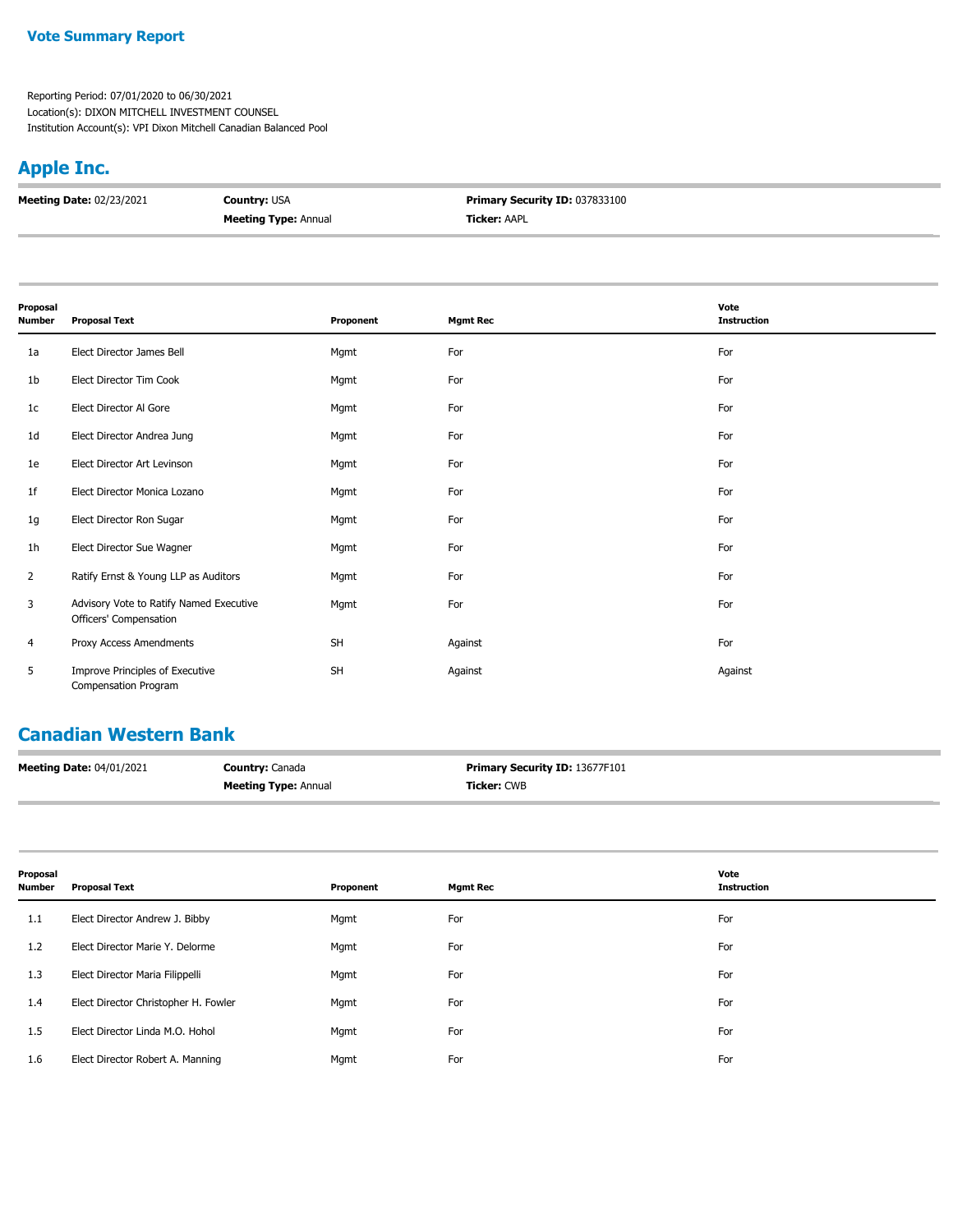#### **Vote Summary Report**

Reporting Period: 07/01/2020 to 06/30/2021 Location(s): DIXON MITCHELL INVESTMENT COUNSEL Institution Account(s): VPI Dixon Mitchell Canadian Balanced Pool

# **Apple Inc.**

| <b>Meeting Date: 02/23/2021</b> | <b>Country: USA</b>         | Primary Security ID: 037833100 |
|---------------------------------|-----------------------------|--------------------------------|
|                                 | <b>Meeting Type: Annual</b> | <b>Ticker: AAPL</b>            |

| Proposal       |                                                                   |           |                 | Vote               |
|----------------|-------------------------------------------------------------------|-----------|-----------------|--------------------|
| Number         | <b>Proposal Text</b>                                              | Proponent | <b>Mgmt Rec</b> | <b>Instruction</b> |
| 1a             | Elect Director James Bell                                         | Mgmt      | For             | For                |
| 1b             | Elect Director Tim Cook                                           | Mgmt      | For             | For                |
| 1c             | Elect Director Al Gore                                            | Mgmt      | For             | For                |
| 1 <sub>d</sub> | Elect Director Andrea Jung                                        | Mgmt      | For             | For                |
| 1e             | Elect Director Art Levinson                                       | Mgmt      | For             | For                |
| 1f             | Elect Director Monica Lozano                                      | Mgmt      | For             | For                |
| 1g             | Elect Director Ron Sugar                                          | Mgmt      | For             | For                |
| 1h             | Elect Director Sue Wagner                                         | Mgmt      | For             | For                |
| $\overline{2}$ | Ratify Ernst & Young LLP as Auditors                              | Mgmt      | For             | For                |
| 3              | Advisory Vote to Ratify Named Executive<br>Officers' Compensation | Mgmt      | For             | For                |
| 4              | Proxy Access Amendments                                           | <b>SH</b> | Against         | For                |
| 5              | Improve Principles of Executive<br>Compensation Program           | <b>SH</b> | Against         | Against            |

# **Canadian Western Bank**

| <b>Meeting Date: 04/01/2021</b> | <b>Country: Canada</b>      | <b>Primary Security ID: 13677F101</b> |
|---------------------------------|-----------------------------|---------------------------------------|
|                                 | <b>Meeting Type: Annual</b> | <b>Ticker:</b> CWB                    |

| Proposal<br><b>Number</b> | <b>Proposal Text</b>                 | Proponent | <b>Mgmt Rec</b> | Vote<br><b>Instruction</b> |
|---------------------------|--------------------------------------|-----------|-----------------|----------------------------|
| 1.1                       | Elect Director Andrew J. Bibby       | Mgmt      | For             | For                        |
| 1.2                       | Elect Director Marie Y. Delorme      | Mgmt      | For             | For                        |
| 1.3                       | Elect Director Maria Filippelli      | Mgmt      | For             | For                        |
| 1.4                       | Elect Director Christopher H. Fowler | Mgmt      | For             | For                        |
| 1.5                       | Elect Director Linda M.O. Hohol      | Mgmt      | For             | For                        |
| 1.6                       | Elect Director Robert A. Manning     | Mgmt      | For             | For                        |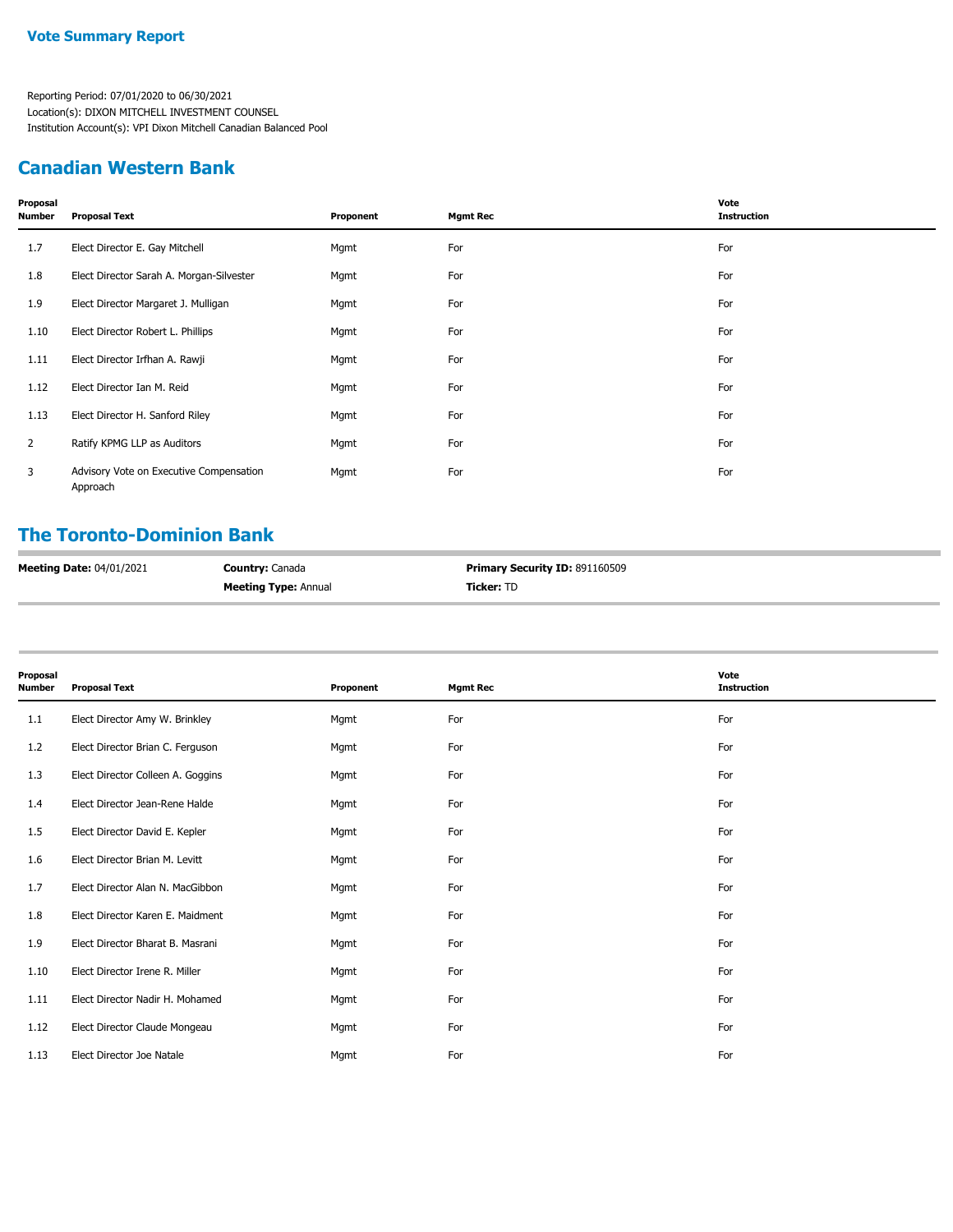#### **Canadian Western Bank**

| Proposal<br>Number | <b>Proposal Text</b>                                | Proponent | <b>Mgmt Rec</b> | Vote<br><b>Instruction</b> |
|--------------------|-----------------------------------------------------|-----------|-----------------|----------------------------|
| 1.7                | Elect Director E. Gay Mitchell                      | Mgmt      | For             | For                        |
| 1.8                | Elect Director Sarah A. Morgan-Silvester            | Mgmt      | For             | For                        |
| 1.9                | Elect Director Margaret J. Mulligan                 | Mgmt      | For             | For                        |
| 1.10               | Elect Director Robert L. Phillips                   | Mgmt      | For             | For                        |
| 1.11               | Elect Director Irfhan A. Rawji                      | Mgmt      | For             | For                        |
| 1.12               | Elect Director Ian M. Reid                          | Mgmt      | For             | For                        |
| 1.13               | Elect Director H. Sanford Riley                     | Mgmt      | For             | For                        |
| $\overline{2}$     | Ratify KPMG LLP as Auditors                         | Mgmt      | For             | For                        |
| 3                  | Advisory Vote on Executive Compensation<br>Approach | Mgmt      | For             | For                        |

## **The Toronto-Dominion Bank**

| <b>Meeting Date: 04/01/2021</b> | <b>Country: Canada</b>      | <b>Primary Security ID: 891160509</b> |
|---------------------------------|-----------------------------|---------------------------------------|
|                                 | <b>Meeting Type: Annual</b> | <b>Ticker: TD</b>                     |

| Proposal<br>Number | <b>Proposal Text</b>              | Proponent | <b>Mgmt Rec</b> | Vote<br><b>Instruction</b> |
|--------------------|-----------------------------------|-----------|-----------------|----------------------------|
| 1.1                | Elect Director Amy W. Brinkley    | Mgmt      | For             | For                        |
| 1.2                | Elect Director Brian C. Ferguson  | Mgmt      | For             | For                        |
| 1.3                | Elect Director Colleen A. Goggins | Mgmt      | For             | For                        |
| 1.4                | Elect Director Jean-Rene Halde    | Mgmt      | For             | For                        |
| 1.5                | Elect Director David E. Kepler    | Mgmt      | For             | For                        |
| 1.6                | Elect Director Brian M. Levitt    | Mgmt      | For             | For                        |
| 1.7                | Elect Director Alan N. MacGibbon  | Mgmt      | For             | For                        |
| 1.8                | Elect Director Karen E. Maidment  | Mgmt      | For             | For                        |
| 1.9                | Elect Director Bharat B. Masrani  | Mgmt      | For             | For                        |
| 1.10               | Elect Director Irene R. Miller    | Mgmt      | For             | For                        |
| 1.11               | Elect Director Nadir H. Mohamed   | Mgmt      | For             | For                        |
| 1.12               | Elect Director Claude Mongeau     | Mgmt      | For             | For                        |
| 1.13               | Elect Director Joe Natale         | Mgmt      | For             | For                        |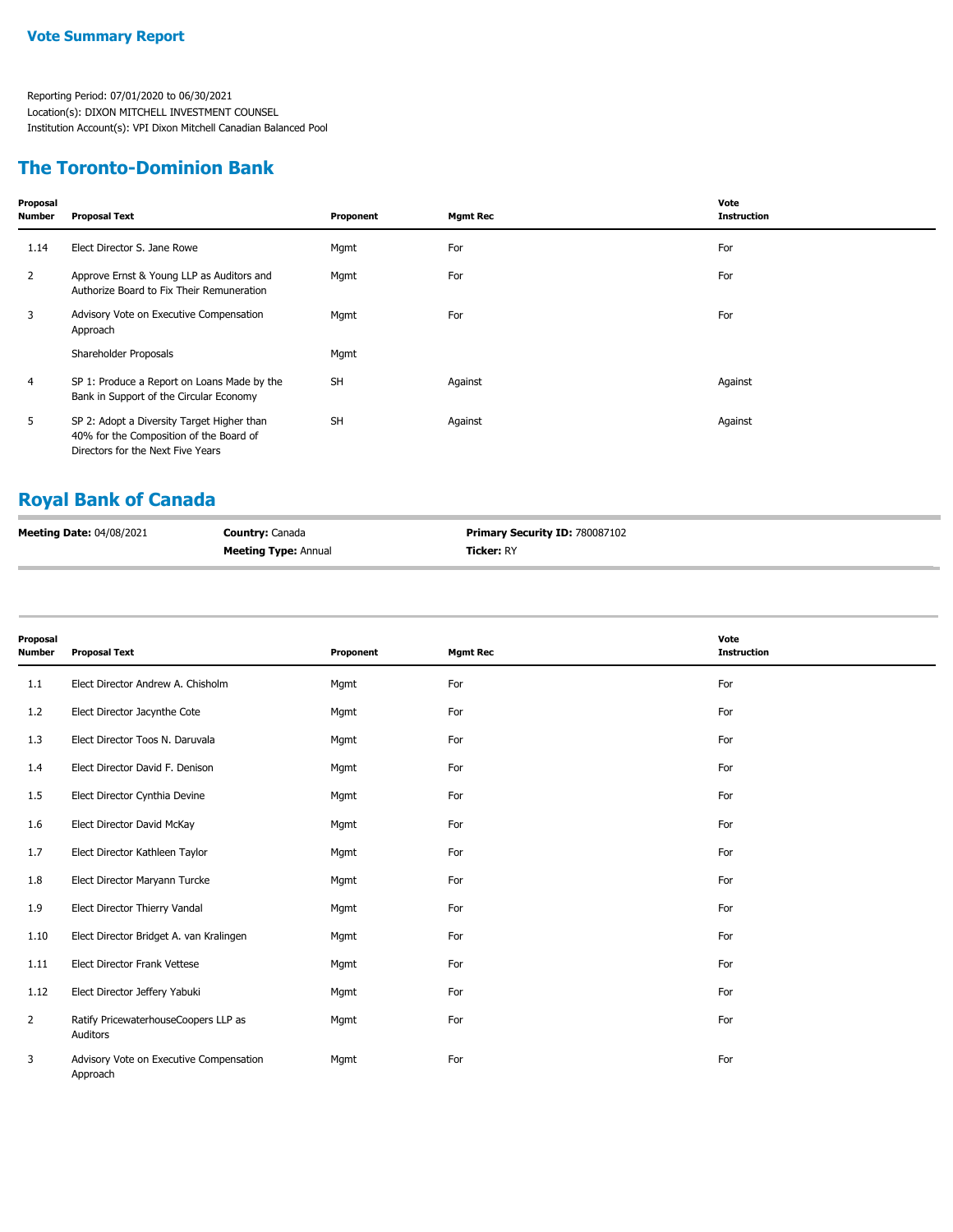#### **The Toronto-Dominion Bank**

| Proposal<br><b>Number</b> | <b>Proposal Text</b>                                                                                                       | Proponent | <b>Mgmt Rec</b> | Vote<br><b>Instruction</b> |
|---------------------------|----------------------------------------------------------------------------------------------------------------------------|-----------|-----------------|----------------------------|
| 1.14                      | Elect Director S. Jane Rowe                                                                                                | Mgmt      | For             | For                        |
| $\overline{2}$            | Approve Ernst & Young LLP as Auditors and<br>Authorize Board to Fix Their Remuneration                                     | Mgmt      | For             | For                        |
| 3                         | Advisory Vote on Executive Compensation<br>Approach                                                                        | Mgmt      | For             | For                        |
|                           | Shareholder Proposals                                                                                                      | Mgmt      |                 |                            |
| $\overline{4}$            | SP 1: Produce a Report on Loans Made by the<br>Bank in Support of the Circular Economy                                     | <b>SH</b> | Against         | Against                    |
| 5                         | SP 2: Adopt a Diversity Target Higher than<br>40% for the Composition of the Board of<br>Directors for the Next Five Years | <b>SH</b> | Against         | Against                    |

# **Royal Bank of Canada**

| <b>Meeting Date: 04/08/2021</b> | <b>Country: Canada</b>      | <b>Primary Security ID: 780087102</b> |
|---------------------------------|-----------------------------|---------------------------------------|
|                                 | <b>Meeting Type: Annual</b> | <b>Ticker: RY</b>                     |

| Proposal<br><b>Number</b> | <b>Proposal Text</b>                                | Proponent | <b>Mgmt Rec</b> | Vote<br><b>Instruction</b> |
|---------------------------|-----------------------------------------------------|-----------|-----------------|----------------------------|
|                           |                                                     |           |                 |                            |
| 1.1                       | Elect Director Andrew A. Chisholm                   | Mgmt      | For             | For                        |
| 1.2                       | Elect Director Jacynthe Cote                        | Mgmt      | For             | For                        |
| 1.3                       | Elect Director Toos N. Daruvala                     | Mgmt      | For             | For                        |
| 1.4                       | Elect Director David F. Denison                     | Mgmt      | For             | For                        |
| 1.5                       | Elect Director Cynthia Devine                       | Mgmt      | For             | For                        |
| 1.6                       | Elect Director David McKay                          | Mgmt      | For             | For                        |
| 1.7                       | Elect Director Kathleen Taylor                      | Mgmt      | For             | For                        |
| 1.8                       | Elect Director Maryann Turcke                       | Mgmt      | For             | For                        |
| 1.9                       | Elect Director Thierry Vandal                       | Mgmt      | For             | For                        |
| 1.10                      | Elect Director Bridget A. van Kralingen             | Mgmt      | For             | For                        |
| 1.11                      | Elect Director Frank Vettese                        | Mgmt      | For             | For                        |
| 1.12                      | Elect Director Jeffery Yabuki                       | Mgmt      | For             | For                        |
| $\overline{2}$            | Ratify PricewaterhouseCoopers LLP as<br>Auditors    | Mgmt      | For             | For                        |
| 3                         | Advisory Vote on Executive Compensation<br>Approach | Mgmt      | For             | For                        |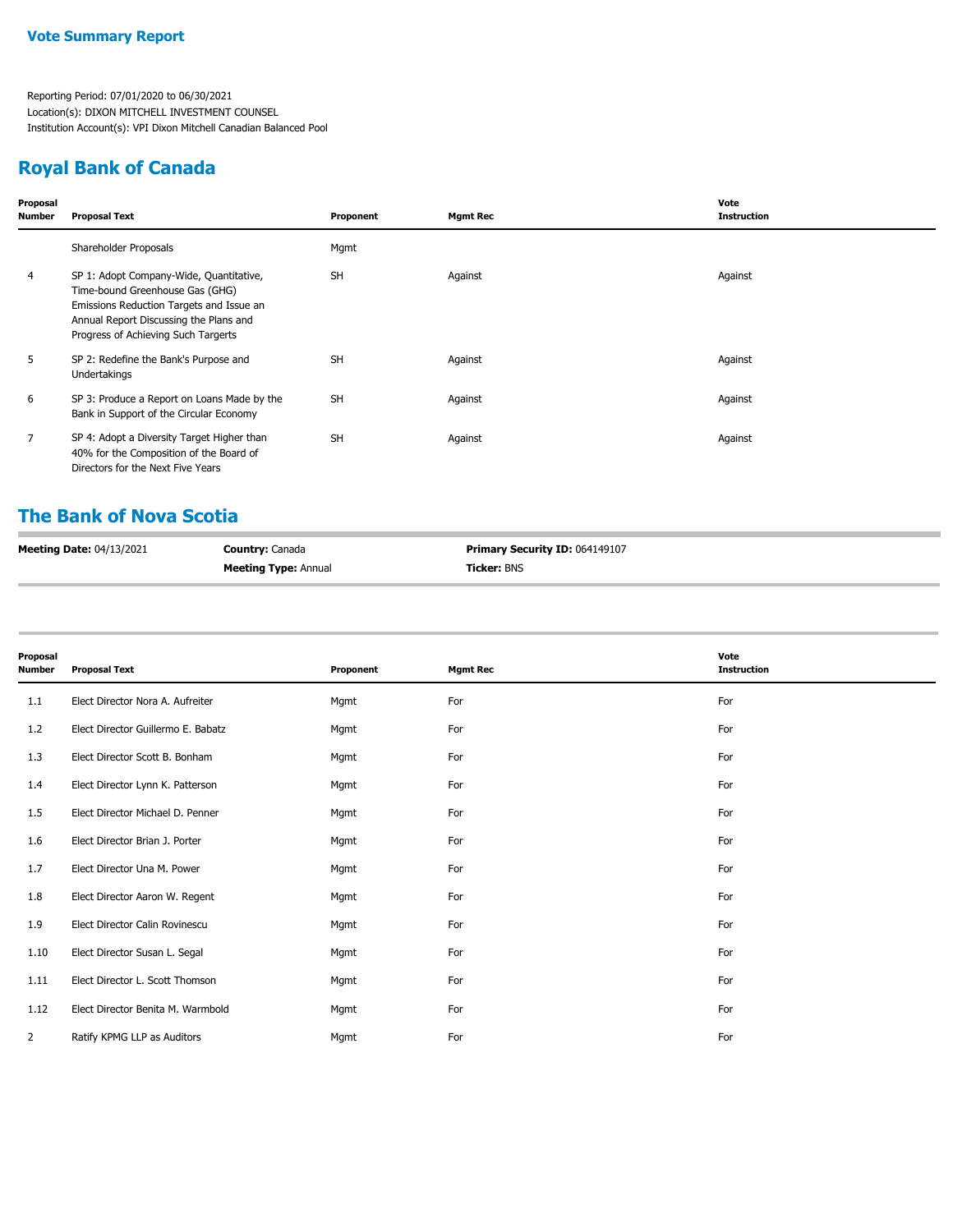## **Royal Bank of Canada**

| Proposal<br><b>Number</b> | <b>Proposal Text</b>                                                                                                                                                                                    | Proponent | <b>Mgmt Rec</b> | Vote<br><b>Instruction</b> |
|---------------------------|---------------------------------------------------------------------------------------------------------------------------------------------------------------------------------------------------------|-----------|-----------------|----------------------------|
|                           | Shareholder Proposals                                                                                                                                                                                   | Mgmt      |                 |                            |
| 4                         | SP 1: Adopt Company-Wide, Quantitative,<br>Time-bound Greenhouse Gas (GHG)<br>Emissions Reduction Targets and Issue an<br>Annual Report Discussing the Plans and<br>Progress of Achieving Such Targerts | <b>SH</b> | Against         | Against                    |
| 5                         | SP 2: Redefine the Bank's Purpose and<br>Undertakings                                                                                                                                                   | <b>SH</b> | Against         | Against                    |
| 6                         | SP 3: Produce a Report on Loans Made by the<br>Bank in Support of the Circular Economy                                                                                                                  | <b>SH</b> | Against         | Against                    |
| $\overline{7}$            | SP 4: Adopt a Diversity Target Higher than<br>40% for the Composition of the Board of<br>Directors for the Next Five Years                                                                              | <b>SH</b> | Against         | Against                    |

## **The Bank of Nova Scotia**

| <b>Meeting Date: 04/13/2021</b> | <b>Country: Canada</b>      | <b>Primary Security ID: 064149107</b> |
|---------------------------------|-----------------------------|---------------------------------------|
|                                 | <b>Meeting Type: Annual</b> | <b>Ticker: BNS</b>                    |

| Proposal<br>Number | <b>Proposal Text</b>               | Proponent | <b>Mgmt Rec</b> | Vote<br><b>Instruction</b> |
|--------------------|------------------------------------|-----------|-----------------|----------------------------|
| 1.1                | Elect Director Nora A. Aufreiter   | Mgmt      | For             | For                        |
| 1.2                | Elect Director Guillermo E. Babatz | Mgmt      | For             | For                        |
| 1.3                | Elect Director Scott B. Bonham     | Mgmt      | For             | For                        |
| 1.4                | Elect Director Lynn K. Patterson   | Mgmt      | For             | For                        |
| 1.5                | Elect Director Michael D. Penner   | Mgmt      | For             | For                        |
| 1.6                | Elect Director Brian J. Porter     | Mgmt      | For             | For                        |
| 1.7                | Elect Director Una M. Power        | Mgmt      | For             | For                        |
| 1.8                | Elect Director Aaron W. Regent     | Mgmt      | For             | For                        |
| 1.9                | Elect Director Calin Rovinescu     | Mgmt      | For             | For                        |
| 1.10               | Elect Director Susan L. Segal      | Mgmt      | For             | For                        |
| 1.11               | Elect Director L. Scott Thomson    | Mgmt      | For             | For                        |
| 1.12               | Elect Director Benita M. Warmbold  | Mgmt      | For             | For                        |
| $\mathbf{2}$       | Ratify KPMG LLP as Auditors        | Mgmt      | For             | For                        |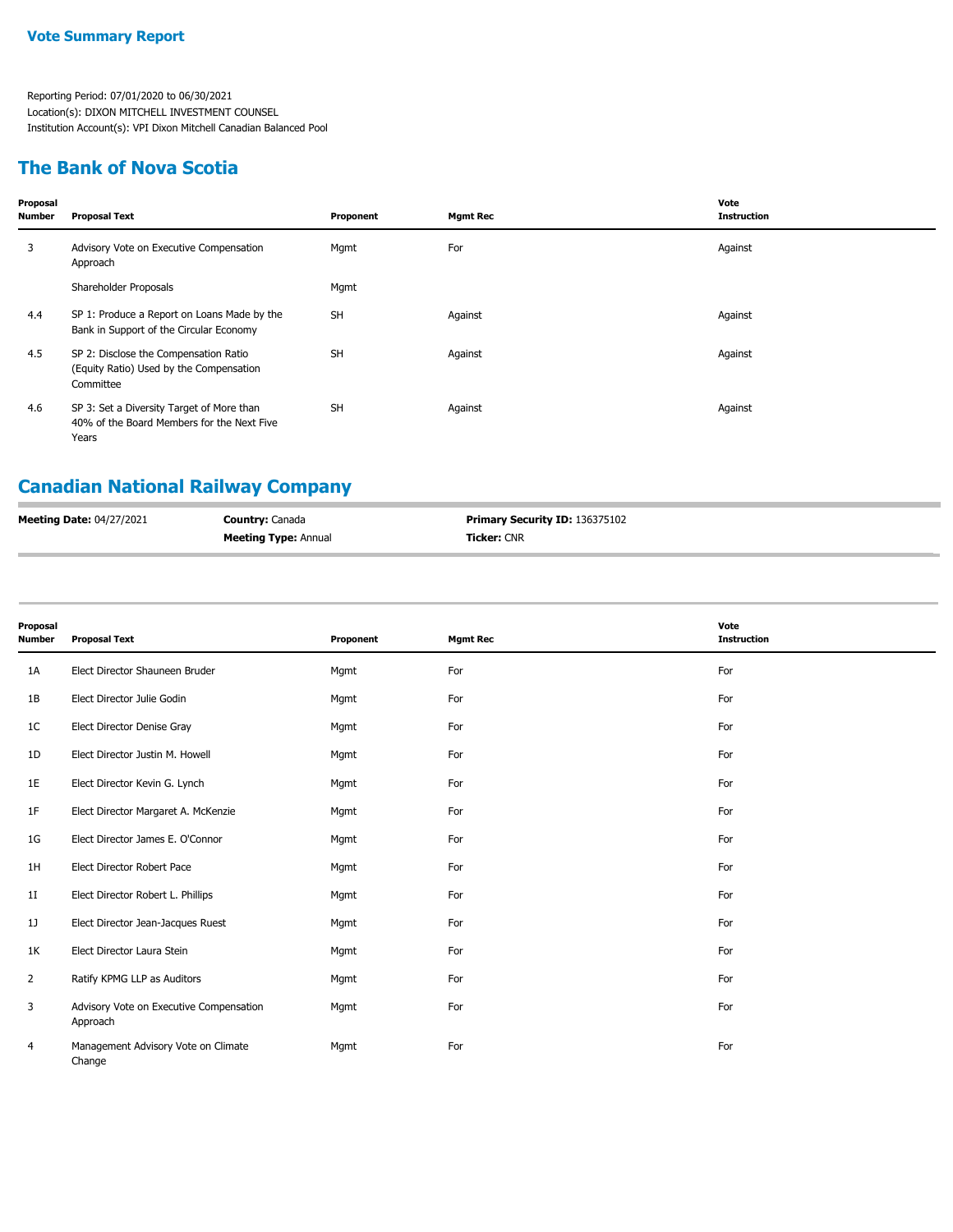## **The Bank of Nova Scotia**

| Proposal<br>Number | Proposal Text                                                                                    | Proponent | <b>Mgmt Rec</b> | Vote<br><b>Instruction</b> |
|--------------------|--------------------------------------------------------------------------------------------------|-----------|-----------------|----------------------------|
| 3                  | Advisory Vote on Executive Compensation<br>Approach                                              | Mgmt      | For             | Against                    |
|                    | Shareholder Proposals                                                                            | Mgmt      |                 |                            |
| 4.4                | SP 1: Produce a Report on Loans Made by the<br>Bank in Support of the Circular Economy           | <b>SH</b> | Against         | Against                    |
| 4.5                | SP 2: Disclose the Compensation Ratio<br>(Equity Ratio) Used by the Compensation<br>Committee    | <b>SH</b> | Against         | Against                    |
| 4.6                | SP 3: Set a Diversity Target of More than<br>40% of the Board Members for the Next Five<br>Years | <b>SH</b> | Against         | Against                    |

# **Canadian National Railway Company**

| <b>Meeting Date: 04/27/2021</b> | <b>Country:</b> Canada      | <b>Primary Security ID: 136375102</b> |
|---------------------------------|-----------------------------|---------------------------------------|
|                                 | <b>Meeting Type: Annual</b> | <b>Ticker:</b> CNR                    |

| Proposal<br>Number | <b>Proposal Text</b>                                | Proponent | <b>Mgmt Rec</b> | Vote<br><b>Instruction</b> |
|--------------------|-----------------------------------------------------|-----------|-----------------|----------------------------|
| 1A                 | Elect Director Shauneen Bruder                      | Mgmt      | For             | For                        |
| 1B                 | Elect Director Julie Godin                          | Mgmt      | For             | For                        |
| 1C                 | Elect Director Denise Gray                          | Mgmt      | For             | For                        |
| 1D                 | Elect Director Justin M. Howell                     | Mgmt      | For             | For                        |
| 1E                 | Elect Director Kevin G. Lynch                       | Mgmt      | For             | For                        |
| 1F                 | Elect Director Margaret A. McKenzie                 | Mgmt      | For             | For                        |
| 1G                 | Elect Director James E. O'Connor                    | Mgmt      | For             | For                        |
| 1H                 | Elect Director Robert Pace                          | Mgmt      | For             | For                        |
| 1 <sub>I</sub>     | Elect Director Robert L. Phillips                   | Mgmt      | For             | For                        |
| 1]                 | Elect Director Jean-Jacques Ruest                   | Mgmt      | For             | For                        |
| 1K                 | Elect Director Laura Stein                          | Mgmt      | For             | For                        |
| $\overline{2}$     | Ratify KPMG LLP as Auditors                         | Mgmt      | For             | For                        |
| 3                  | Advisory Vote on Executive Compensation<br>Approach | Mgmt      | For             | For                        |
| 4                  | Management Advisory Vote on Climate<br>Change       | Mgmt      | For             | For                        |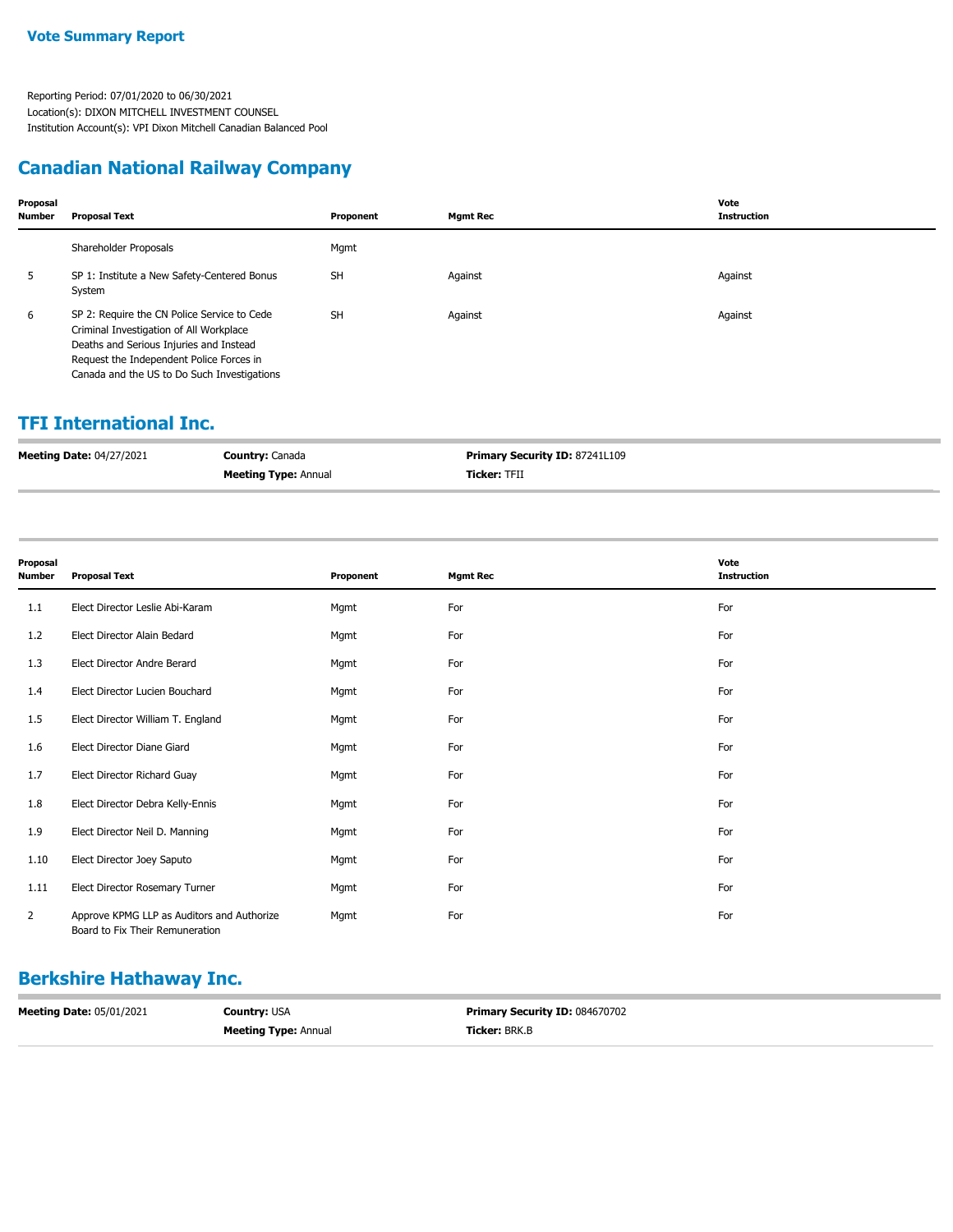### **Canadian National Railway Company**

| Proposal<br><b>Number</b> | <b>Proposal Text</b>                                                                                                                                                                                                         | Proponent | <b>Mgmt Rec</b> | Vote<br><b>Instruction</b> |
|---------------------------|------------------------------------------------------------------------------------------------------------------------------------------------------------------------------------------------------------------------------|-----------|-----------------|----------------------------|
|                           | Shareholder Proposals                                                                                                                                                                                                        | Mgmt      |                 |                            |
| 5                         | SP 1: Institute a New Safety-Centered Bonus<br>System                                                                                                                                                                        | <b>SH</b> | Against         | Against                    |
| 6                         | SP 2: Require the CN Police Service to Cede<br>Criminal Investigation of All Workplace<br>Deaths and Serious Injuries and Instead<br>Request the Independent Police Forces in<br>Canada and the US to Do Such Investigations | <b>SH</b> | Against         | Against                    |

#### **TFI International Inc.**

| <b>Meeting Date: 04/27/2021</b> | <b>Country: Canada</b>      | <b>Primary Security ID: 87241L109</b> |
|---------------------------------|-----------------------------|---------------------------------------|
|                                 | <b>Meeting Type: Annual</b> | <b>Ticker: TFII</b>                   |

| Proposal<br>Number | <b>Proposal Text</b>                                                          | Proponent | <b>Mgmt Rec</b> | Vote<br><b>Instruction</b> |
|--------------------|-------------------------------------------------------------------------------|-----------|-----------------|----------------------------|
| 1.1                | Elect Director Leslie Abi-Karam                                               | Mgmt      | For             | For                        |
| 1.2                | Elect Director Alain Bedard                                                   | Mgmt      | For             | For                        |
| 1.3                | Elect Director Andre Berard                                                   | Mgmt      | For             | For                        |
| 1.4                | Elect Director Lucien Bouchard                                                | Mgmt      | For             | For                        |
| 1.5                | Elect Director William T. England                                             | Mgmt      | For             | For                        |
| 1.6                | Elect Director Diane Giard                                                    | Mgmt      | For             | For                        |
| 1.7                | Elect Director Richard Guay                                                   | Mgmt      | For             | For                        |
| 1.8                | Elect Director Debra Kelly-Ennis                                              | Mgmt      | For             | For                        |
| 1.9                | Elect Director Neil D. Manning                                                | Mgmt      | For             | For                        |
| 1.10               | Elect Director Joey Saputo                                                    | Mgmt      | For             | For                        |
| 1.11               | Elect Director Rosemary Turner                                                | Mgmt      | For             | For                        |
| $\overline{2}$     | Approve KPMG LLP as Auditors and Authorize<br>Board to Fix Their Remuneration | Mgmt      | For             | For                        |

# **Berkshire Hathaway Inc.**

| <b>Meeting Date: 05/01/2021</b> | <b>Country: USA</b>         | <b>Primary Security ID: 084670702</b> |
|---------------------------------|-----------------------------|---------------------------------------|
|                                 | <b>Meeting Type: Annual</b> | <b>Ticker:</b> BRK.B                  |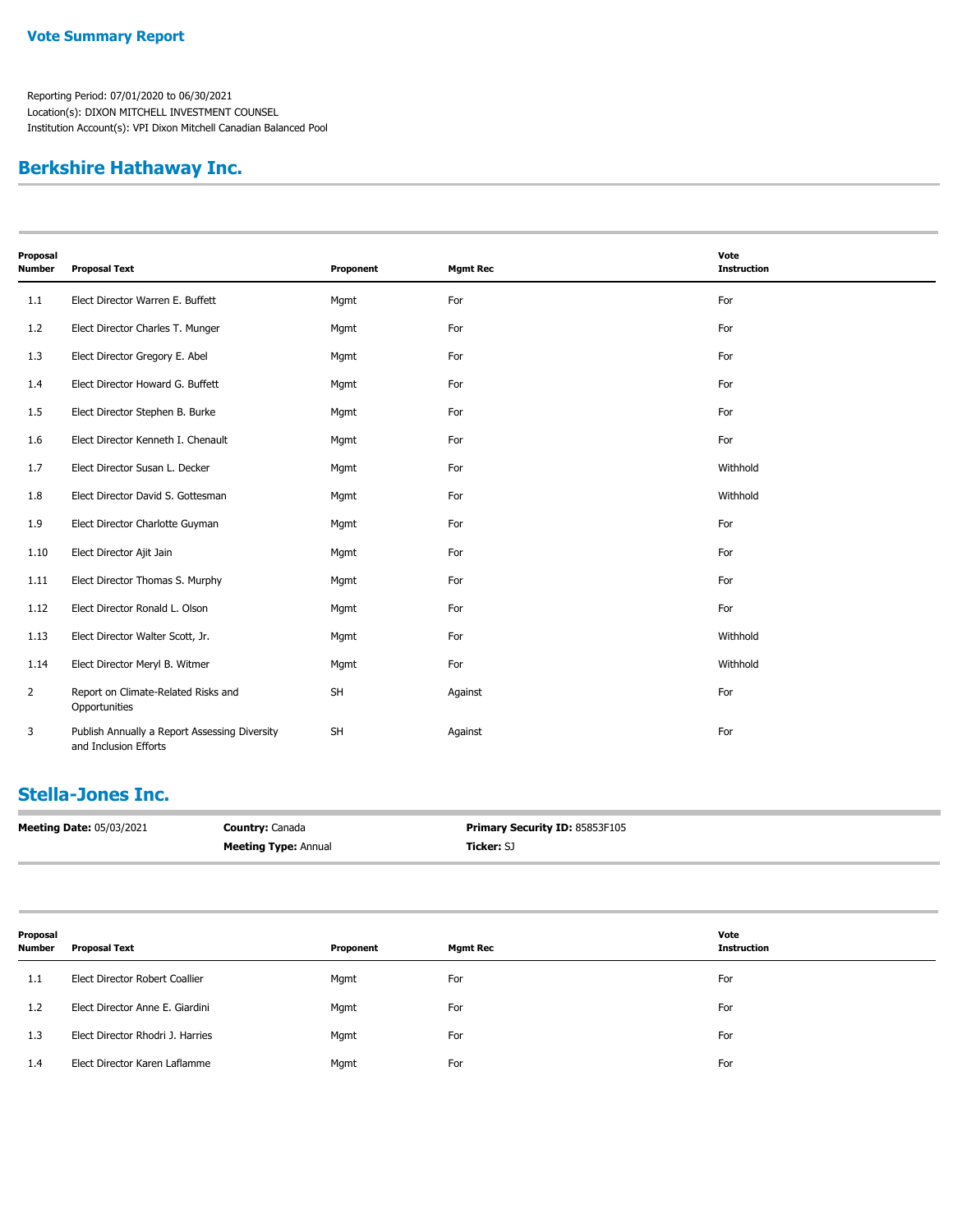## **Berkshire Hathaway Inc.**

| Vote<br>Proposal |                                                                        |           |                 |                    |
|------------------|------------------------------------------------------------------------|-----------|-----------------|--------------------|
| Number           | <b>Proposal Text</b>                                                   | Proponent | <b>Mgmt Rec</b> | <b>Instruction</b> |
| 1.1              | Elect Director Warren E. Buffett                                       | Mgmt      | For             | For                |
| 1.2              | Elect Director Charles T. Munger                                       | Mgmt      | For             | For                |
| 1.3              | Elect Director Gregory E. Abel                                         | Mgmt      | For             | For                |
| 1.4              | Elect Director Howard G. Buffett                                       | Mgmt      | For             | For                |
| 1.5              | Elect Director Stephen B. Burke                                        | Mgmt      | For             | For                |
| 1.6              | Elect Director Kenneth I. Chenault                                     | Mgmt      | For             | For                |
| 1.7              | Elect Director Susan L. Decker                                         | Mgmt      | For             | Withhold           |
| 1.8              | Elect Director David S. Gottesman                                      | Mgmt      | For             | Withhold           |
| 1.9              | Elect Director Charlotte Guyman                                        | Mgmt      | For             | For                |
| 1.10             | Elect Director Ajit Jain                                               | Mgmt      | For             | For                |
| 1.11             | Elect Director Thomas S. Murphy                                        | Mgmt      | For             | For                |
| 1.12             | Elect Director Ronald L. Olson                                         | Mgmt      | For             | For                |
| 1.13             | Elect Director Walter Scott, Jr.                                       | Mgmt      | For             | Withhold           |
| 1.14             | Elect Director Meryl B. Witmer                                         | Mgmt      | For             | Withhold           |
| $\overline{2}$   | Report on Climate-Related Risks and<br>Opportunities                   | <b>SH</b> | Against         | For                |
| 3                | Publish Annually a Report Assessing Diversity<br>and Inclusion Efforts | <b>SH</b> | Against         | For                |

## **Stella-Jones Inc.**

| <b>Meeting Date: 05/03/2021</b> | <b>Country: Canada</b>      | <b>Primary Security ID: 85853F105</b> |
|---------------------------------|-----------------------------|---------------------------------------|
|                                 | <b>Meeting Type: Annual</b> | <b>Ticker:</b> SJ                     |

| Proposal      |                                  |           | Vote            |                    |
|---------------|----------------------------------|-----------|-----------------|--------------------|
| <b>Number</b> | <b>Proposal Text</b>             | Proponent | <b>Mgmt Rec</b> | <b>Instruction</b> |
| 1.1           | Elect Director Robert Coallier   | Mgmt      | For             | For                |
| 1.2           | Elect Director Anne E. Giardini  | Mgmt      | For             | For                |
| 1.3           | Elect Director Rhodri J. Harries | Mgmt      | For             | For                |
| 1.4           | Elect Director Karen Laflamme    | Mgmt      | For             | For                |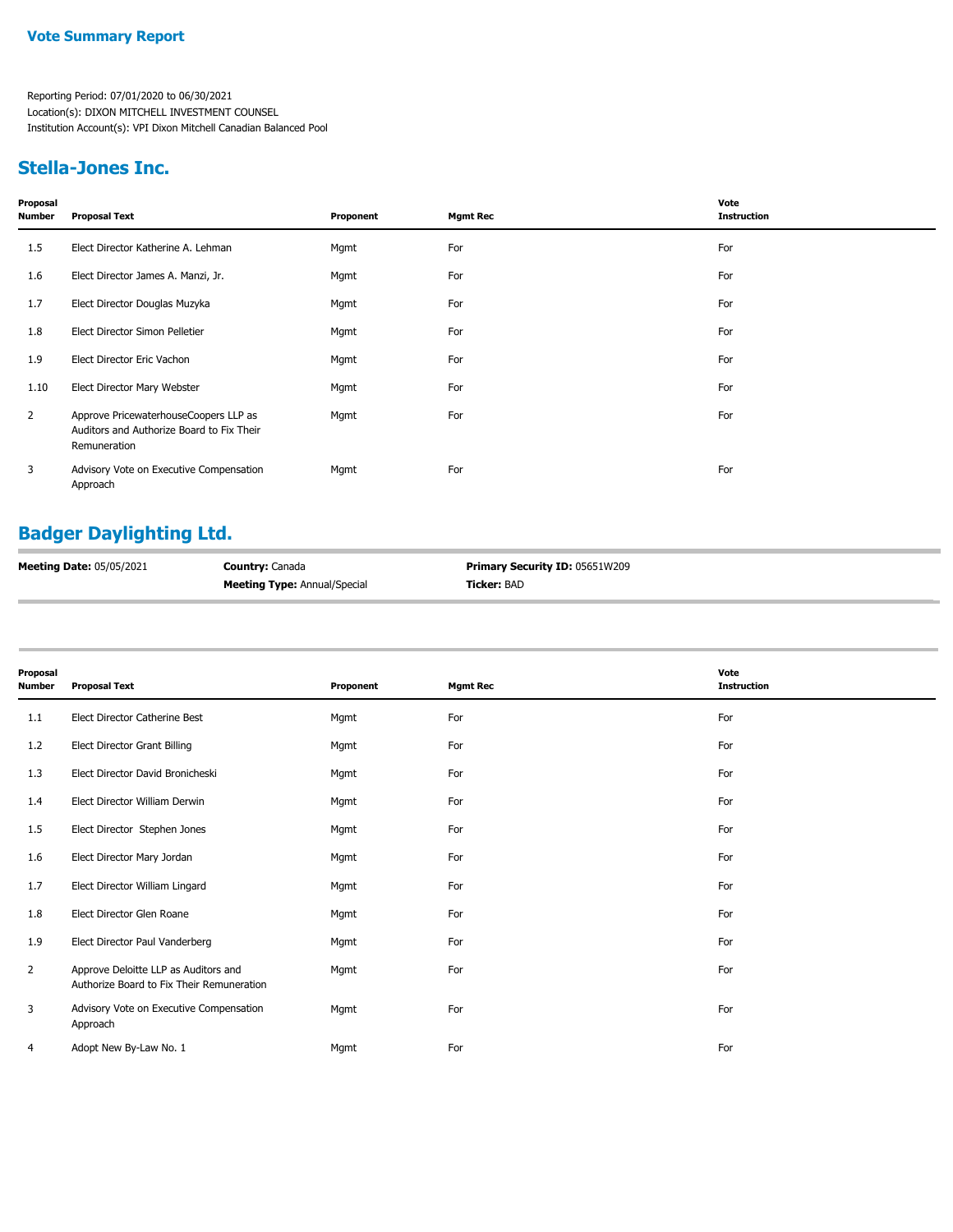#### **Stella-Jones Inc.**

| Proposal<br><b>Number</b> | <b>Proposal Text</b>                                                                               | Proponent | <b>Mgmt Rec</b> | Vote<br><b>Instruction</b> |
|---------------------------|----------------------------------------------------------------------------------------------------|-----------|-----------------|----------------------------|
| 1.5                       | Elect Director Katherine A. Lehman                                                                 | Mgmt      | For             | For                        |
| 1.6                       | Elect Director James A. Manzi, Jr.                                                                 | Mgmt      | For             | For                        |
| 1.7                       | Elect Director Douglas Muzyka                                                                      | Mgmt      | For             | For                        |
| 1.8                       | Elect Director Simon Pelletier                                                                     | Mgmt      | For             | For                        |
| 1.9                       | Elect Director Eric Vachon                                                                         | Mgmt      | For             | For                        |
| 1.10                      | Elect Director Mary Webster                                                                        | Mgmt      | For             | For                        |
| 2                         | Approve PricewaterhouseCoopers LLP as<br>Auditors and Authorize Board to Fix Their<br>Remuneration | Mgmt      | For             | For                        |
| 3                         | Advisory Vote on Executive Compensation<br>Approach                                                | Mgmt      | For             | For                        |

# **Badger Daylighting Ltd.**

| Meeting Date: 05/05/2021 | <b>Country: Canada</b>              | Primary Security ID: 05651W209 |
|--------------------------|-------------------------------------|--------------------------------|
|                          | <b>Meeting Type: Annual/Special</b> | <b>Ticker:</b> BAD             |

| Proposal<br>Number | <b>Proposal Text</b>                                                              | Proponent | <b>Mgmt Rec</b> | Vote<br><b>Instruction</b> |
|--------------------|-----------------------------------------------------------------------------------|-----------|-----------------|----------------------------|
| 1.1                | Elect Director Catherine Best                                                     | Mgmt      | For             | For                        |
| 1.2                | <b>Elect Director Grant Billing</b>                                               | Mgmt      | For             | For                        |
| 1.3                | Elect Director David Bronicheski                                                  | Mgmt      | For             | For                        |
| 1.4                | Elect Director William Derwin                                                     | Mgmt      | For             | For                        |
| 1.5                | Elect Director Stephen Jones                                                      | Mgmt      | For             | For                        |
| 1.6                | Elect Director Mary Jordan                                                        | Mgmt      | For             | For                        |
| 1.7                | Elect Director William Lingard                                                    | Mgmt      | For             | For                        |
| 1.8                | Elect Director Glen Roane                                                         | Mgmt      | For             | For                        |
| 1.9                | Elect Director Paul Vanderberg                                                    | Mgmt      | For             | For                        |
| $\overline{2}$     | Approve Deloitte LLP as Auditors and<br>Authorize Board to Fix Their Remuneration | Mgmt      | For             | For                        |
| 3                  | Advisory Vote on Executive Compensation<br>Approach                               | Mgmt      | For             | For                        |
| 4                  | Adopt New By-Law No. 1                                                            | Mgmt      | For             | For                        |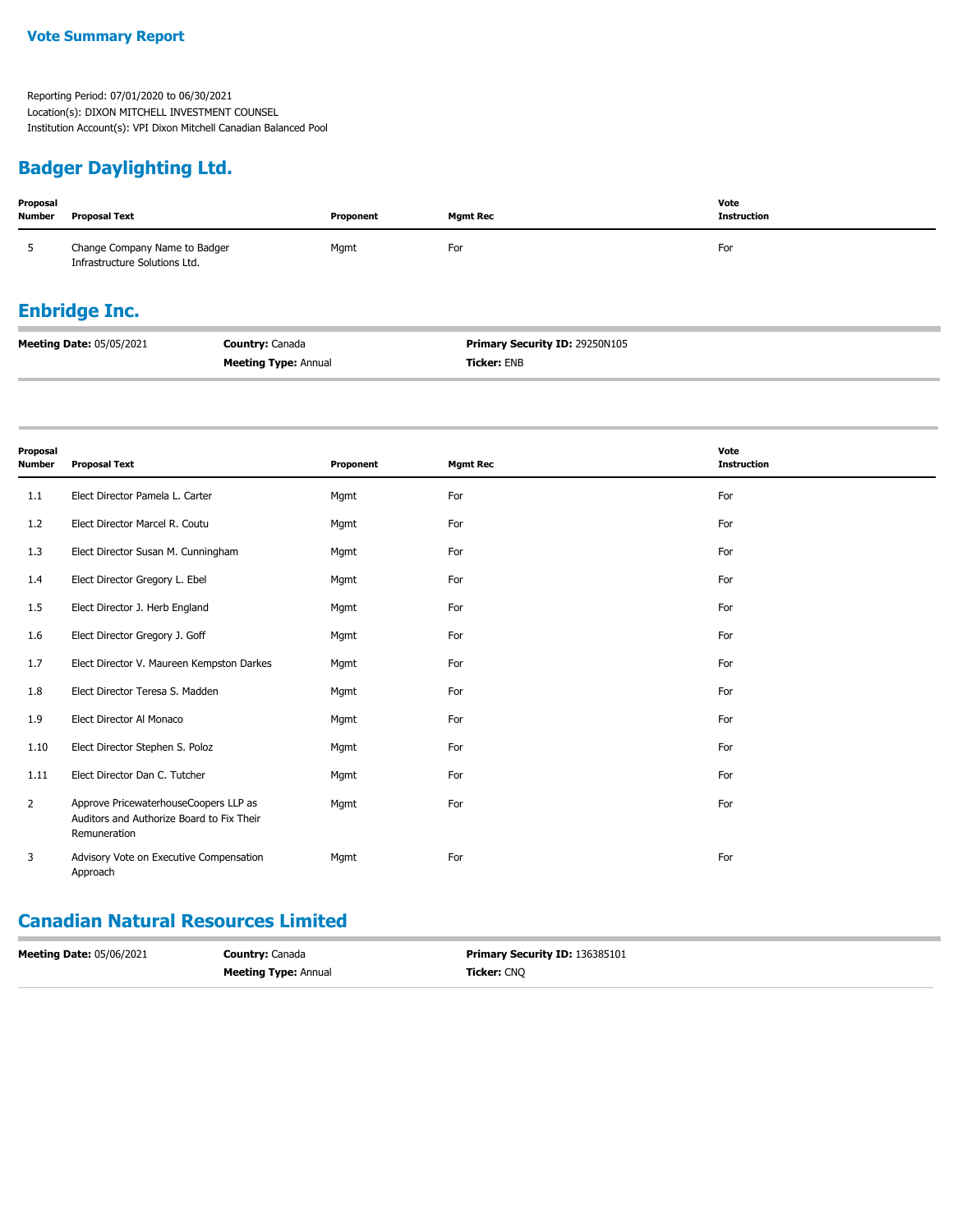## **Badger Daylighting Ltd.**

| Proposal<br><b>Number</b> | <b>Proposal Text</b>                                           | Proponent | <b>Mgmt Rec</b> | Vote<br><b>Instruction</b> |
|---------------------------|----------------------------------------------------------------|-----------|-----------------|----------------------------|
| 5                         | Change Company Name to Badger<br>Infrastructure Solutions Ltd. | Mgmt      | For             | For                        |
| <b>Enbridge Inc.</b>      |                                                                |           |                 |                            |

| <b>Meeting Date: 05/05/2021</b> | <b>Country: Canada</b>      | <b>Primary Security ID: 29250N105</b> |
|---------------------------------|-----------------------------|---------------------------------------|
|                                 | <b>Meeting Type: Annual</b> | <b>Ticker: ENB</b>                    |

| Proposal<br><b>Number</b> | <b>Proposal Text</b>                                                                               | Proponent | <b>Mgmt Rec</b> | Vote<br><b>Instruction</b> |
|---------------------------|----------------------------------------------------------------------------------------------------|-----------|-----------------|----------------------------|
| 1.1                       | Elect Director Pamela L. Carter                                                                    | Mgmt      | For             | For                        |
| 1.2                       | Elect Director Marcel R. Coutu                                                                     | Mgmt      | For             | For                        |
| 1.3                       | Elect Director Susan M. Cunningham                                                                 | Mgmt      | For             | For                        |
| 1.4                       | Elect Director Gregory L. Ebel                                                                     | Mgmt      | For             | For                        |
| 1.5                       | Elect Director J. Herb England                                                                     | Mgmt      | For             | For                        |
| 1.6                       | Elect Director Gregory J. Goff                                                                     | Mgmt      | For             | For                        |
| 1.7                       | Elect Director V. Maureen Kempston Darkes                                                          | Mgmt      | For             | For                        |
| 1.8                       | Elect Director Teresa S. Madden                                                                    | Mgmt      | For             | For                        |
| 1.9                       | Elect Director Al Monaco                                                                           | Mgmt      | For             | For                        |
| 1.10                      | Elect Director Stephen S. Poloz                                                                    | Mgmt      | For             | For                        |
| 1.11                      | Elect Director Dan C. Tutcher                                                                      | Mgmt      | For             | For                        |
| $\overline{2}$            | Approve PricewaterhouseCoopers LLP as<br>Auditors and Authorize Board to Fix Their<br>Remuneration | Mgmt      | For             | For                        |
| 3                         | Advisory Vote on Executive Compensation<br>Approach                                                | Mgmt      | For             | For                        |

## **Canadian Natural Resources Limited**

| <b>Meeting Date: 05/06/2021</b> | <b>Country: Canada</b>      | <b>Primary Security ID: 136385101</b> |
|---------------------------------|-----------------------------|---------------------------------------|
|                                 | <b>Meeting Type: Annual</b> | Ticker: CNO                           |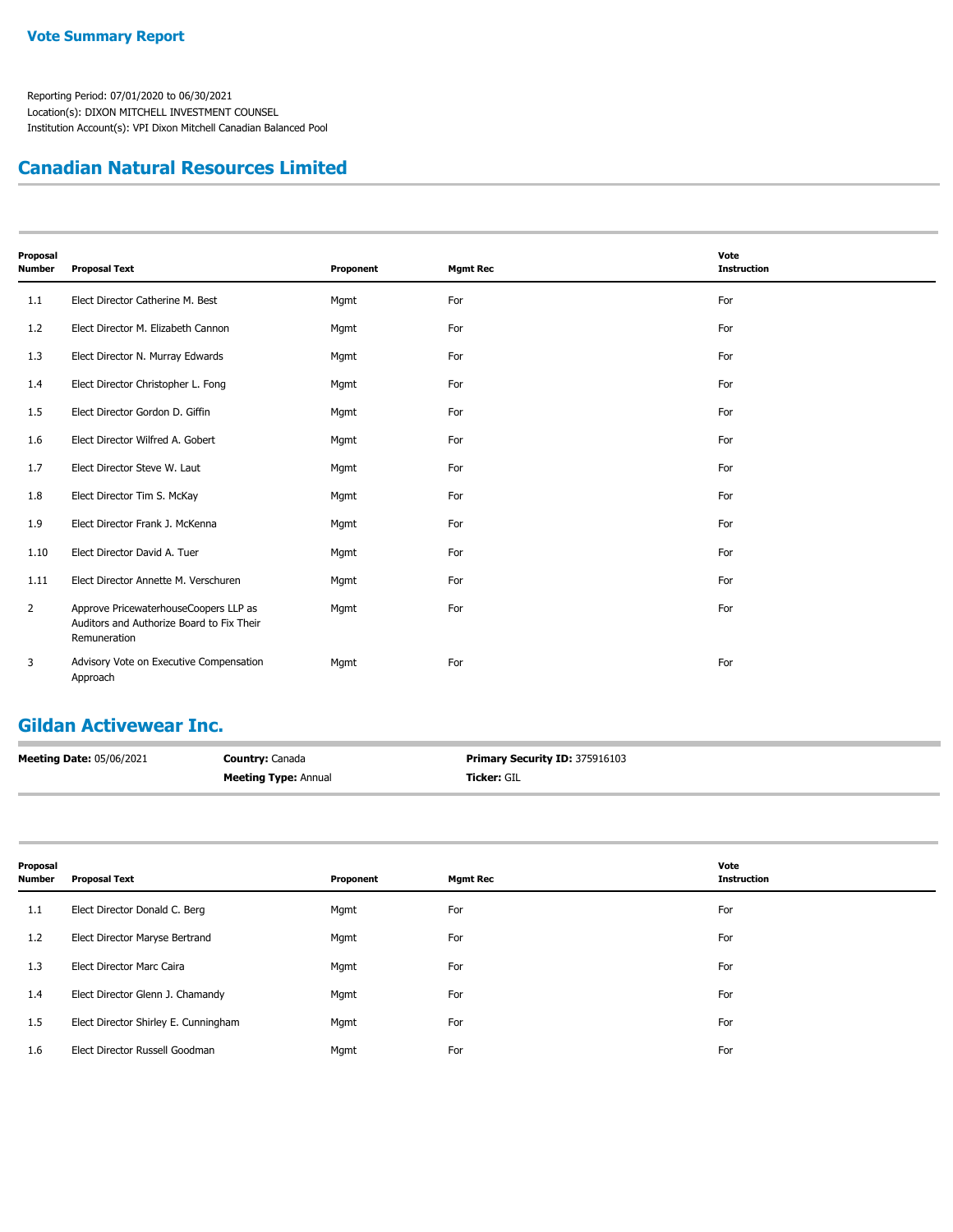#### **Canadian Natural Resources Limited**

| Proposal<br><b>Number</b> | <b>Proposal Text</b>                                                                               | Proponent | <b>Mgmt Rec</b> | Vote<br><b>Instruction</b> |
|---------------------------|----------------------------------------------------------------------------------------------------|-----------|-----------------|----------------------------|
| 1.1                       | Elect Director Catherine M. Best                                                                   | Mgmt      | For             | For                        |
| 1.2                       | Elect Director M. Elizabeth Cannon                                                                 | Mgmt      | For             | For                        |
| 1.3                       | Elect Director N. Murray Edwards                                                                   | Mgmt      | For             | For                        |
| 1.4                       | Elect Director Christopher L. Fong                                                                 | Mgmt      | For             | For                        |
| 1.5                       | Elect Director Gordon D. Giffin                                                                    | Mgmt      | For             | For                        |
| 1.6                       | Elect Director Wilfred A. Gobert                                                                   | Mgmt      | For             | For                        |
| 1.7                       | Elect Director Steve W. Laut                                                                       | Mgmt      | For             | For                        |
| 1.8                       | Elect Director Tim S. McKay                                                                        | Mgmt      | For             | For                        |
| 1.9                       | Elect Director Frank J. McKenna                                                                    | Mgmt      | For             | For                        |
| 1.10                      | Elect Director David A. Tuer                                                                       | Mgmt      | For             | For                        |
| 1.11                      | Elect Director Annette M. Verschuren                                                               | Mgmt      | For             | For                        |
| $\overline{2}$            | Approve PricewaterhouseCoopers LLP as<br>Auditors and Authorize Board to Fix Their<br>Remuneration | Mgmt      | For             | For                        |
| 3                         | Advisory Vote on Executive Compensation<br>Approach                                                | Mgmt      | For             | For                        |

## **Gildan Activewear Inc.**

| <b>Meeting Date: 05/06/2021</b> | <b>Country: Canada</b>      | <b>Primary Security ID: 375916103</b> |
|---------------------------------|-----------------------------|---------------------------------------|
|                                 | <b>Meeting Type: Annual</b> | <b>Ticker: GIL</b>                    |

| Proposal<br>Number | <b>Proposal Text</b>                 | Proponent | <b>Mgmt Rec</b> | Vote<br><b>Instruction</b> |
|--------------------|--------------------------------------|-----------|-----------------|----------------------------|
| 1.1                | Elect Director Donald C. Berg        | Mgmt      | For             | For                        |
| 1.2                | Elect Director Maryse Bertrand       | Mgmt      | For             | For                        |
| 1.3                | <b>Elect Director Marc Caira</b>     | Mgmt      | For             | For                        |
| 1.4                | Elect Director Glenn J. Chamandy     | Mgmt      | For             | For                        |
| 1.5                | Elect Director Shirley E. Cunningham | Mgmt      | For             | For                        |
| 1.6                | Elect Director Russell Goodman       | Mgmt      | For             | For                        |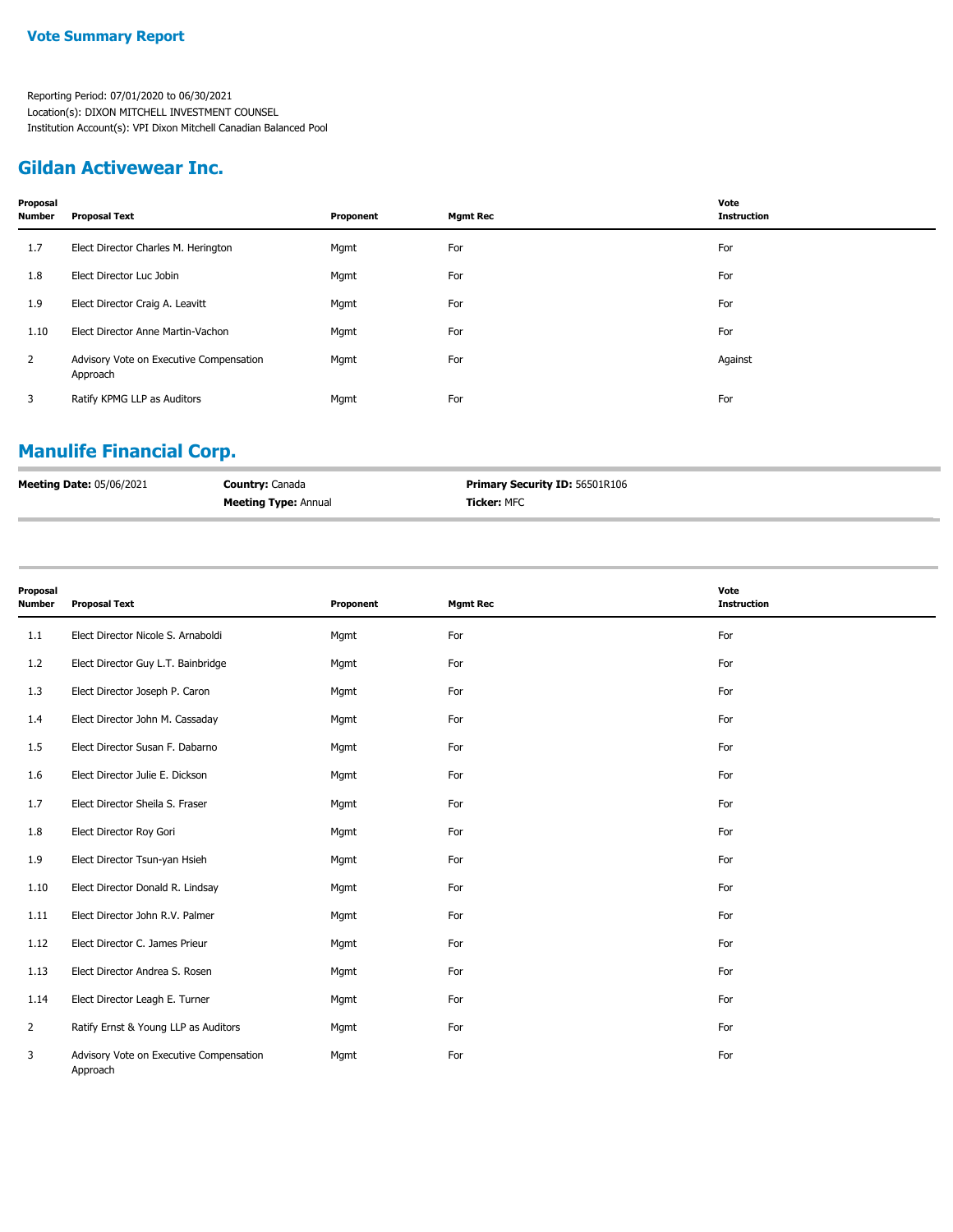#### **Gildan Activewear Inc.**

| Proposal<br>Number | <b>Proposal Text</b>                                | Proponent | <b>Mgmt Rec</b> | Vote<br><b>Instruction</b> |
|--------------------|-----------------------------------------------------|-----------|-----------------|----------------------------|
| 1.7                | Elect Director Charles M. Herington                 | Mgmt      | For             | For                        |
| 1.8                | Elect Director Luc Jobin                            | Mgmt      | For             | For                        |
| 1.9                | Elect Director Craig A. Leavitt                     | Mgmt      | For             | For                        |
| 1.10               | Elect Director Anne Martin-Vachon                   | Mgmt      | For             | For                        |
| $\overline{2}$     | Advisory Vote on Executive Compensation<br>Approach | Mgmt      | For             | Against                    |
| 3                  | Ratify KPMG LLP as Auditors                         | Mgmt      | For             | For                        |
|                    |                                                     |           |                 |                            |

# **Manulife Financial Corp.**

| <b>Meeting Date: 05/06/2021</b> | <b>Country: Canada</b>      | <b>Primary Security ID: 56501R106</b> |
|---------------------------------|-----------------------------|---------------------------------------|
|                                 | <b>Meeting Type: Annual</b> | <b>Ticker: MFC</b>                    |

| Proposal<br>Number | <b>Proposal Text</b>                                | Proponent | <b>Mgmt Rec</b> | Vote<br><b>Instruction</b> |
|--------------------|-----------------------------------------------------|-----------|-----------------|----------------------------|
| 1.1                | Elect Director Nicole S. Arnaboldi                  | Mgmt      | For             | For                        |
| 1.2                | Elect Director Guy L.T. Bainbridge                  | Mgmt      | For             | For                        |
| 1.3                | Elect Director Joseph P. Caron                      | Mgmt      | For             | For                        |
| 1.4                | Elect Director John M. Cassaday                     | Mgmt      | For             | For                        |
| 1.5                | Elect Director Susan F. Dabarno                     | Mgmt      | For             | For                        |
| 1.6                | Elect Director Julie E. Dickson                     | Mgmt      | For             | For                        |
| 1.7                | Elect Director Sheila S. Fraser                     | Mgmt      | For             | For                        |
| 1.8                | Elect Director Roy Gori                             | Mgmt      | For             | For                        |
| 1.9                | Elect Director Tsun-yan Hsieh                       | Mgmt      | For             | For                        |
| 1.10               | Elect Director Donald R. Lindsay                    | Mgmt      | For             | For                        |
| 1.11               | Elect Director John R.V. Palmer                     | Mgmt      | For             | For                        |
| 1.12               | Elect Director C. James Prieur                      | Mgmt      | For             | For                        |
| 1.13               | Elect Director Andrea S. Rosen                      | Mgmt      | For             | For                        |
| 1.14               | Elect Director Leagh E. Turner                      | Mgmt      | For             | For                        |
| $\overline{2}$     | Ratify Ernst & Young LLP as Auditors                | Mgmt      | For             | For                        |
| 3                  | Advisory Vote on Executive Compensation<br>Approach | Mgmt      | For             | For                        |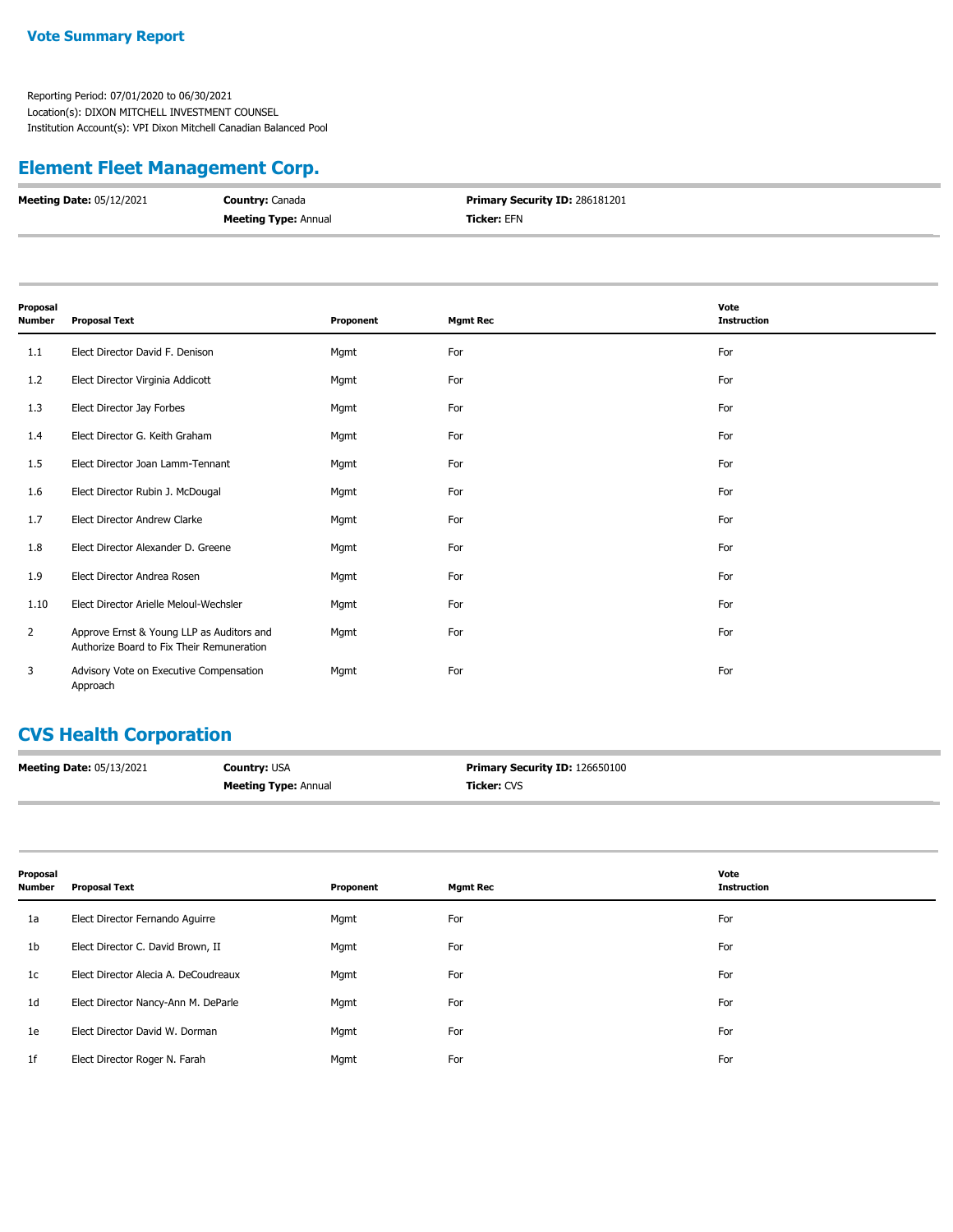#### **Vote Summary Report**

Reporting Period: 07/01/2020 to 06/30/2021 Location(s): DIXON MITCHELL INVESTMENT COUNSEL Institution Account(s): VPI Dixon Mitchell Canadian Balanced Pool

## **Element Fleet Management Corp.**

| <b>Meeting Date: 05/12/2021</b> | <b>Country: Canada</b>      | <b>Primary Security ID: 286181201</b> |
|---------------------------------|-----------------------------|---------------------------------------|
|                                 | <b>Meeting Type: Annual</b> | <b>Ticker: EFN</b>                    |

| Proposal<br>Number | <b>Proposal Text</b>                                                                   | Proponent | <b>Mgmt Rec</b> | Vote<br><b>Instruction</b> |
|--------------------|----------------------------------------------------------------------------------------|-----------|-----------------|----------------------------|
| 1.1                | Elect Director David F. Denison                                                        | Mgmt      | For             | For                        |
| 1.2                | Elect Director Virginia Addicott                                                       | Mgmt      | For             | For                        |
| 1.3                | Elect Director Jay Forbes                                                              | Mgmt      | For             | For                        |
| 1.4                | Elect Director G. Keith Graham                                                         | Mgmt      | For             | For                        |
| 1.5                | Elect Director Joan Lamm-Tennant                                                       | Mgmt      | For             | For                        |
| 1.6                | Elect Director Rubin J. McDougal                                                       | Mgmt      | For             | For                        |
| 1.7                | Elect Director Andrew Clarke                                                           | Mgmt      | For             | For                        |
| 1.8                | Elect Director Alexander D. Greene                                                     | Mgmt      | For             | For                        |
| 1.9                | Elect Director Andrea Rosen                                                            | Mgmt      | For             | For                        |
| 1.10               | Elect Director Arielle Meloul-Wechsler                                                 | Mgmt      | For             | For                        |
| $\overline{2}$     | Approve Ernst & Young LLP as Auditors and<br>Authorize Board to Fix Their Remuneration | Mgmt      | For             | For                        |
| 3                  | Advisory Vote on Executive Compensation<br>Approach                                    | Mgmt      | For             | For                        |

#### **CVS Health Corporation**

| Meeting Date: 05/13/2021 | <b>Country: USA</b>         | <b>Primary Security ID: 126650100</b> |
|--------------------------|-----------------------------|---------------------------------------|
|                          | <b>Meeting Type: Annual</b> | Ticker: CVS                           |

| Proposal<br><b>Number</b> | <b>Proposal Text</b>                 | Proponent | <b>Mgmt Rec</b> | Vote<br><b>Instruction</b> |
|---------------------------|--------------------------------------|-----------|-----------------|----------------------------|
| 1a                        | Elect Director Fernando Aguirre      | Mgmt      | For             | For                        |
| 1 <sub>b</sub>            | Elect Director C. David Brown, II    | Mgmt      | For             | For                        |
| 1c                        | Elect Director Alecia A. DeCoudreaux | Mgmt      | For             | For                        |
| 1 <sub>d</sub>            | Elect Director Nancy-Ann M. DeParle  | Mgmt      | For             | For                        |
| 1e                        | Elect Director David W. Dorman       | Mgmt      | For             | For                        |
| 1f                        | Elect Director Roger N. Farah        | Mgmt      | For             | For                        |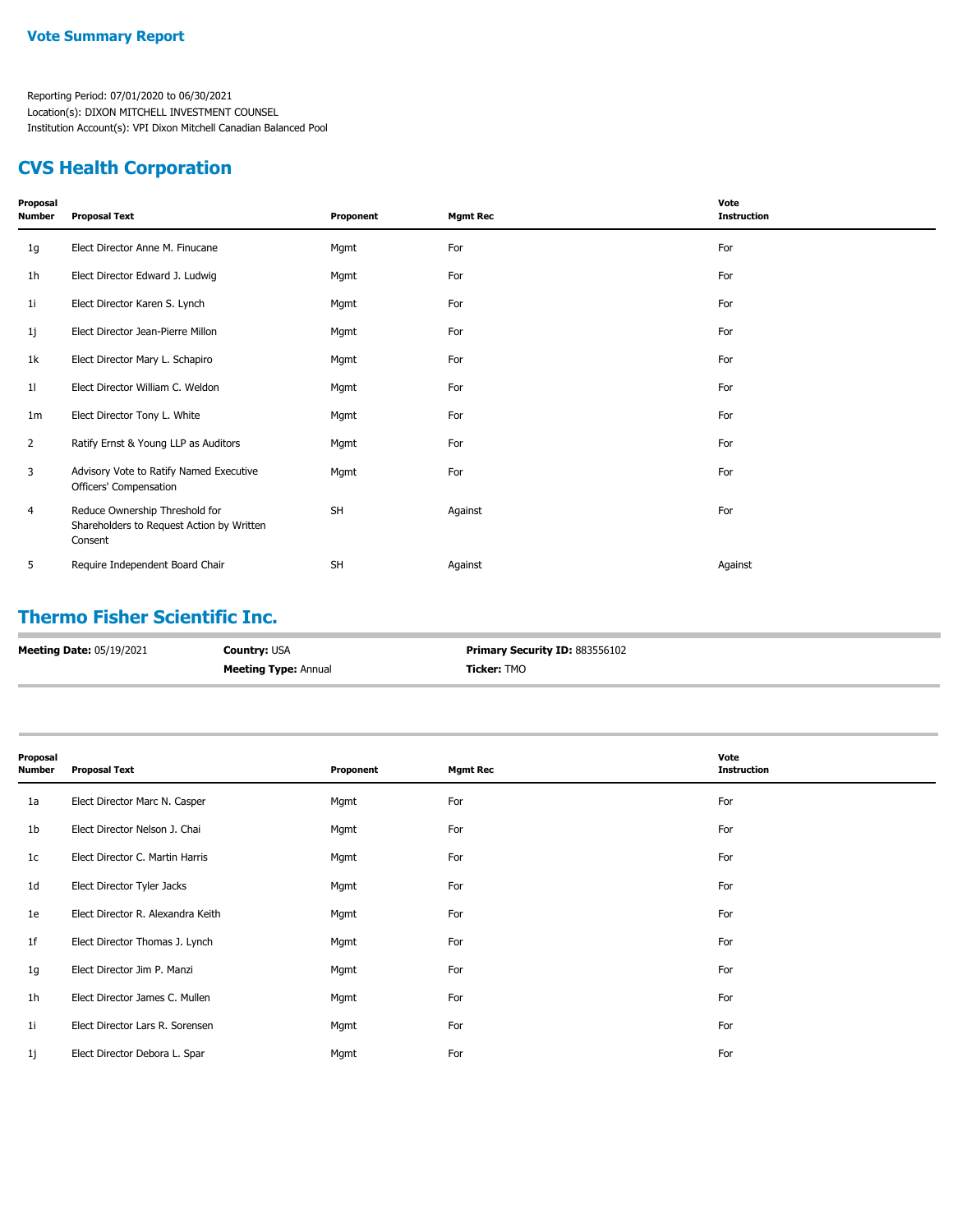## **CVS Health Corporation**

| Proposal<br>Number | <b>Proposal Text</b>                                                                   | Proponent | <b>Mgmt Rec</b> | Vote<br><b>Instruction</b> |
|--------------------|----------------------------------------------------------------------------------------|-----------|-----------------|----------------------------|
| 1g                 | Elect Director Anne M. Finucane                                                        | Mgmt      | For             | For                        |
| 1h                 | Elect Director Edward J. Ludwig                                                        | Mgmt      | For             | For                        |
| 11                 | Elect Director Karen S. Lynch                                                          | Mgmt      | For             | For                        |
| 1j                 | Elect Director Jean-Pierre Millon                                                      | Mgmt      | For             | For                        |
| 1k                 | Elect Director Mary L. Schapiro                                                        | Mgmt      | For             | For                        |
| 11                 | Elect Director William C. Weldon                                                       | Mgmt      | For             | For                        |
| 1 <sub>m</sub>     | Elect Director Tony L. White                                                           | Mgmt      | For             | For                        |
| $\overline{2}$     | Ratify Ernst & Young LLP as Auditors                                                   | Mgmt      | For             | For                        |
| 3                  | Advisory Vote to Ratify Named Executive<br>Officers' Compensation                      | Mgmt      | For             | For                        |
| 4                  | Reduce Ownership Threshold for<br>Shareholders to Request Action by Written<br>Consent | <b>SH</b> | Against         | For                        |
| 5                  | Require Independent Board Chair                                                        | <b>SH</b> | Against         | Against                    |

## **Thermo Fisher Scientific Inc.**

| <b>Meeting Date: 05/19/2021</b> | <b>Country: USA</b>         | <b>Primary Security ID: 883556102</b> |
|---------------------------------|-----------------------------|---------------------------------------|
|                                 | <b>Meeting Type: Annual</b> | <b>Ticker: TMO</b>                    |

| Proposal<br><b>Number</b> | <b>Proposal Text</b>              | Proponent | <b>Mgmt Rec</b> | Vote<br><b>Instruction</b> |
|---------------------------|-----------------------------------|-----------|-----------------|----------------------------|
| 1a                        | Elect Director Marc N. Casper     | Mgmt      | For             | For                        |
| 1b                        | Elect Director Nelson J. Chai     | Mgmt      | For             | For                        |
| 1c                        | Elect Director C. Martin Harris   | Mgmt      | For             | For                        |
| 1 <sub>d</sub>            | Elect Director Tyler Jacks        | Mgmt      | For             | For                        |
| 1e                        | Elect Director R. Alexandra Keith | Mgmt      | For             | For                        |
| 1 <sup>f</sup>            | Elect Director Thomas J. Lynch    | Mgmt      | For             | For                        |
| 1g                        | Elect Director Jim P. Manzi       | Mgmt      | For             | For                        |
| 1 <sub>h</sub>            | Elect Director James C. Mullen    | Mgmt      | For             | For                        |
| 1i                        | Elect Director Lars R. Sorensen   | Mgmt      | For             | For                        |
| 1j                        | Elect Director Debora L. Spar     | Mgmt      | For             | For                        |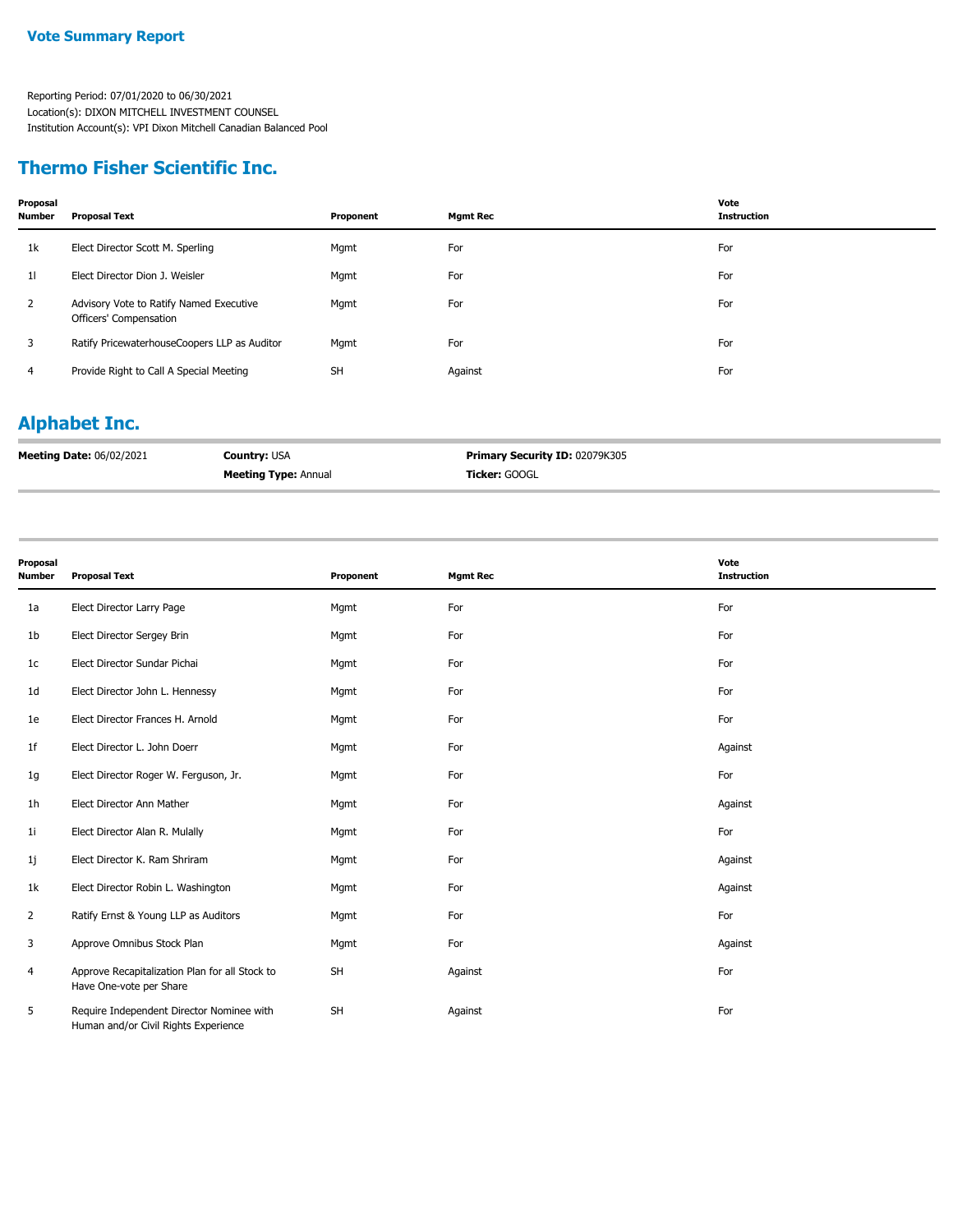## **Thermo Fisher Scientific Inc.**

| Proposal<br>Number | <b>Proposal Text</b>                                              | Proponent | <b>Mgmt Rec</b> | Vote<br><b>Instruction</b> |
|--------------------|-------------------------------------------------------------------|-----------|-----------------|----------------------------|
| 1k                 | Elect Director Scott M. Sperling                                  | Mgmt      | For             | For                        |
| 11                 | Elect Director Dion J. Weisler                                    | Mgmt      | For             | For                        |
| $\overline{2}$     | Advisory Vote to Ratify Named Executive<br>Officers' Compensation | Mgmt      | For             | For                        |
| 3                  | Ratify PricewaterhouseCoopers LLP as Auditor                      | Mgmt      | For             | For                        |
| 4                  | Provide Right to Call A Special Meeting                           | <b>SH</b> | Against         | For                        |

# **Alphabet Inc.**

| <b>Meeting Date: 06/02/2021</b> | <b>Country: USA</b>         | Primary Security ID: 02079K305 |
|---------------------------------|-----------------------------|--------------------------------|
|                                 | <b>Meeting Type: Annual</b> | <b>Ticker:</b> GOOGL           |

| Proposal<br>Number | <b>Proposal Text</b>                                                              | Proponent | <b>Mgmt Rec</b> | Vote<br><b>Instruction</b> |
|--------------------|-----------------------------------------------------------------------------------|-----------|-----------------|----------------------------|
| 1a                 | Elect Director Larry Page                                                         | Mgmt      | For             | For                        |
| 1b                 | Elect Director Sergey Brin                                                        | Mgmt      | For             | For                        |
| 1c                 | Elect Director Sundar Pichai                                                      | Mgmt      | For             | For                        |
| 1d                 | Elect Director John L. Hennessy                                                   | Mgmt      | For             | For                        |
| 1e                 | Elect Director Frances H. Arnold                                                  | Mgmt      | For             | For                        |
| 1f                 | Elect Director L. John Doerr                                                      | Mgmt      | For             | Against                    |
| 1g                 | Elect Director Roger W. Ferguson, Jr.                                             | Mgmt      | For             | For                        |
| 1h                 | Elect Director Ann Mather                                                         | Mgmt      | For             | Against                    |
| 1i                 | Elect Director Alan R. Mulally                                                    | Mgmt      | For             | For                        |
| 1j                 | Elect Director K. Ram Shriram                                                     | Mgmt      | For             | Against                    |
| 1k                 | Elect Director Robin L. Washington                                                | Mgmt      | For             | Against                    |
| $\overline{2}$     | Ratify Ernst & Young LLP as Auditors                                              | Mgmt      | For             | For                        |
| 3                  | Approve Omnibus Stock Plan                                                        | Mgmt      | For             | Against                    |
| 4                  | Approve Recapitalization Plan for all Stock to<br>Have One-vote per Share         | <b>SH</b> | Against         | For                        |
| 5                  | Require Independent Director Nominee with<br>Human and/or Civil Rights Experience | <b>SH</b> | Against         | For                        |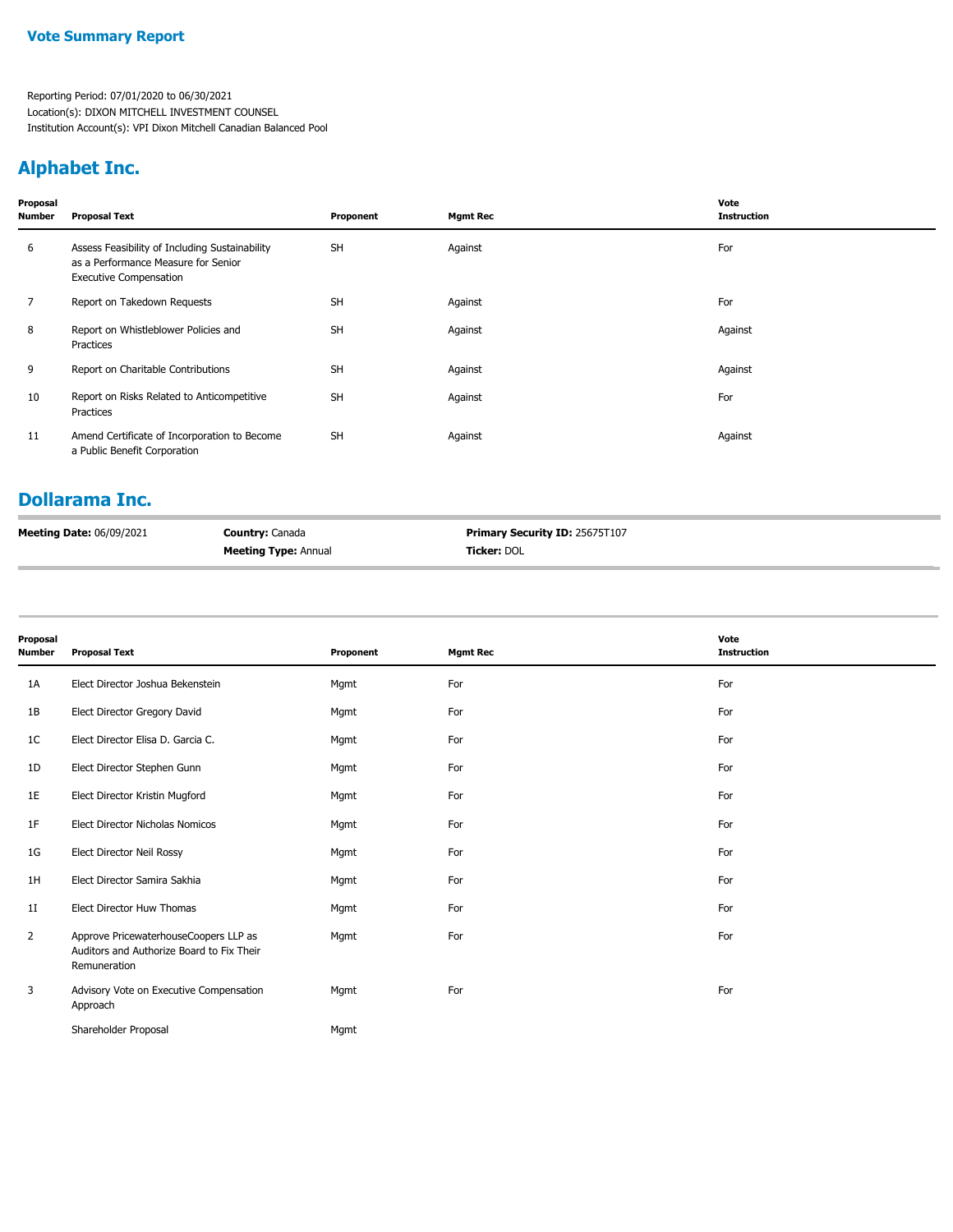# **Alphabet Inc.**

| Proposal<br>Number | <b>Proposal Text</b>                                                                                                   | Proponent | <b>Mgmt Rec</b> | Vote<br><b>Instruction</b> |
|--------------------|------------------------------------------------------------------------------------------------------------------------|-----------|-----------------|----------------------------|
| 6                  | Assess Feasibility of Including Sustainability<br>as a Performance Measure for Senior<br><b>Executive Compensation</b> | <b>SH</b> | Against         | For                        |
| 7                  | Report on Takedown Requests                                                                                            | <b>SH</b> | Against         | For                        |
| 8                  | Report on Whistleblower Policies and<br>Practices                                                                      | <b>SH</b> | Against         | Against                    |
| 9                  | Report on Charitable Contributions                                                                                     | <b>SH</b> | Against         | Against                    |
| 10                 | Report on Risks Related to Anticompetitive<br>Practices                                                                | <b>SH</b> | Against         | For                        |
| 11                 | Amend Certificate of Incorporation to Become<br>a Public Benefit Corporation                                           | <b>SH</b> | Against         | Against                    |

## **Dollarama Inc.**

| <b>Meeting Date: 06/09/2021</b> | <b>Country: Canada</b>      | <b>Primary Security ID: 25675T107</b> |
|---------------------------------|-----------------------------|---------------------------------------|
|                                 | <b>Meeting Type: Annual</b> | <b>Ticker:</b> DOL                    |

| Proposal<br><b>Number</b> | <b>Proposal Text</b>                                                                               | Proponent | <b>Mgmt Rec</b> | Vote<br><b>Instruction</b> |
|---------------------------|----------------------------------------------------------------------------------------------------|-----------|-----------------|----------------------------|
| 1A                        | Elect Director Joshua Bekenstein                                                                   | Mgmt      | For             | For                        |
| 1B                        | Elect Director Gregory David                                                                       | Mgmt      | For             | For                        |
| 1C                        | Elect Director Elisa D. Garcia C.                                                                  | Mgmt      | For             | For                        |
| 1D                        | Elect Director Stephen Gunn                                                                        | Mgmt      | For             | For                        |
| 1E                        | Elect Director Kristin Mugford                                                                     | Mgmt      | For             | For                        |
| 1F                        | Elect Director Nicholas Nomicos                                                                    | Mgmt      | For             | For                        |
| 1G                        | Elect Director Neil Rossy                                                                          | Mgmt      | For             | For                        |
| 1H                        | Elect Director Samira Sakhia                                                                       | Mgmt      | For             | For                        |
| 11                        | Elect Director Huw Thomas                                                                          | Mgmt      | For             | For                        |
| 2                         | Approve PricewaterhouseCoopers LLP as<br>Auditors and Authorize Board to Fix Their<br>Remuneration | Mgmt      | For             | For                        |
| 3                         | Advisory Vote on Executive Compensation<br>Approach                                                | Mgmt      | For             | For                        |
|                           | Shareholder Proposal                                                                               | Mgmt      |                 |                            |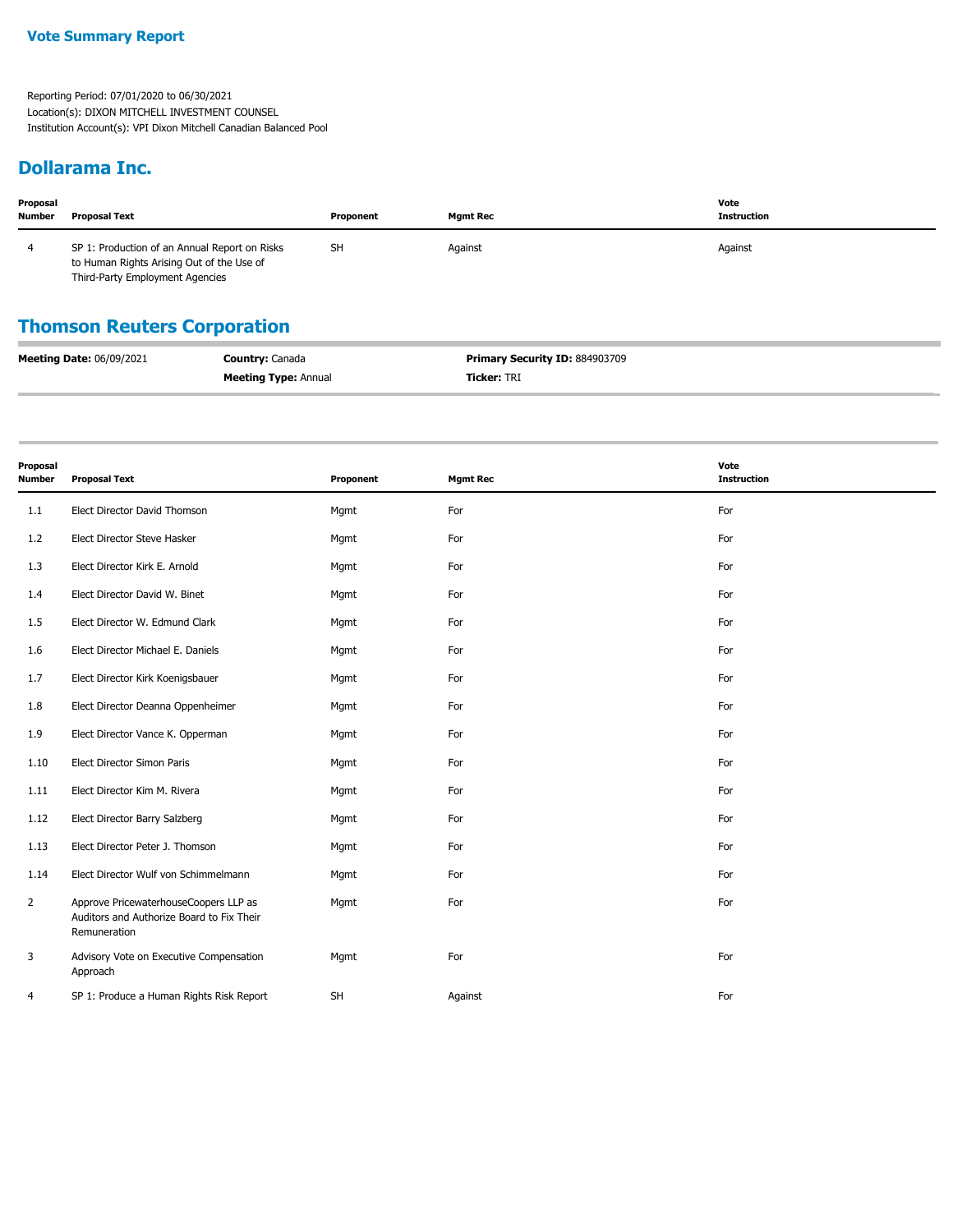#### **Dollarama Inc.**

| Proposal<br><b>Number</b> | <b>Proposal Text</b>                                                                                                          | Proponent | <b>Mgmt Rec</b> | Vote<br>Instruction |
|---------------------------|-------------------------------------------------------------------------------------------------------------------------------|-----------|-----------------|---------------------|
|                           | SP 1: Production of an Annual Report on Risks<br>to Human Rights Arising Out of the Use of<br>Third-Party Employment Agencies | <b>SH</b> | Against         | Against             |

### **Thomson Reuters Corporation**

| <b>Meeting Date: 06/09/2021</b> | <b>Country: Canada</b>      | <b>Primary Security ID: 884903709</b> |
|---------------------------------|-----------------------------|---------------------------------------|
|                                 | <b>Meeting Type: Annual</b> | <b>Ticker:</b> TRI                    |

| Proposal<br><b>Number</b> | <b>Proposal Text</b>                                                                               | Proponent | <b>Mgmt Rec</b> | Vote<br><b>Instruction</b> |
|---------------------------|----------------------------------------------------------------------------------------------------|-----------|-----------------|----------------------------|
| 1.1                       | Elect Director David Thomson                                                                       | Mgmt      | For             | For                        |
| 1.2                       | Elect Director Steve Hasker                                                                        | Mgmt      | For             | For                        |
| 1.3                       | Elect Director Kirk E. Arnold                                                                      | Mgmt      | For             | For                        |
| 1.4                       | Elect Director David W. Binet                                                                      | Mgmt      | For             | For                        |
| 1.5                       | Elect Director W. Edmund Clark                                                                     | Mgmt      | For             | For                        |
| 1.6                       | Elect Director Michael E. Daniels                                                                  | Mgmt      | For             | For                        |
| 1.7                       | Elect Director Kirk Koenigsbauer                                                                   | Mgmt      | For             | For                        |
| 1.8                       | Elect Director Deanna Oppenheimer                                                                  | Mgmt      | For             | For                        |
| 1.9                       | Elect Director Vance K. Opperman                                                                   | Mgmt      | For             | For                        |
| 1.10                      | Elect Director Simon Paris                                                                         | Mgmt      | For             | For                        |
| 1.11                      | Elect Director Kim M. Rivera                                                                       | Mgmt      | For             | For                        |
| 1.12                      | Elect Director Barry Salzberg                                                                      | Mgmt      | For             | For                        |
| 1.13                      | Elect Director Peter J. Thomson                                                                    | Mgmt      | For             | For                        |
| 1.14                      | Elect Director Wulf von Schimmelmann                                                               | Mgmt      | For             | For                        |
| $\overline{2}$            | Approve PricewaterhouseCoopers LLP as<br>Auditors and Authorize Board to Fix Their<br>Remuneration | Mgmt      | For             | For                        |
| 3                         | Advisory Vote on Executive Compensation<br>Approach                                                | Mgmt      | For             | For                        |
| 4                         | SP 1: Produce a Human Rights Risk Report                                                           | <b>SH</b> | Against         | For                        |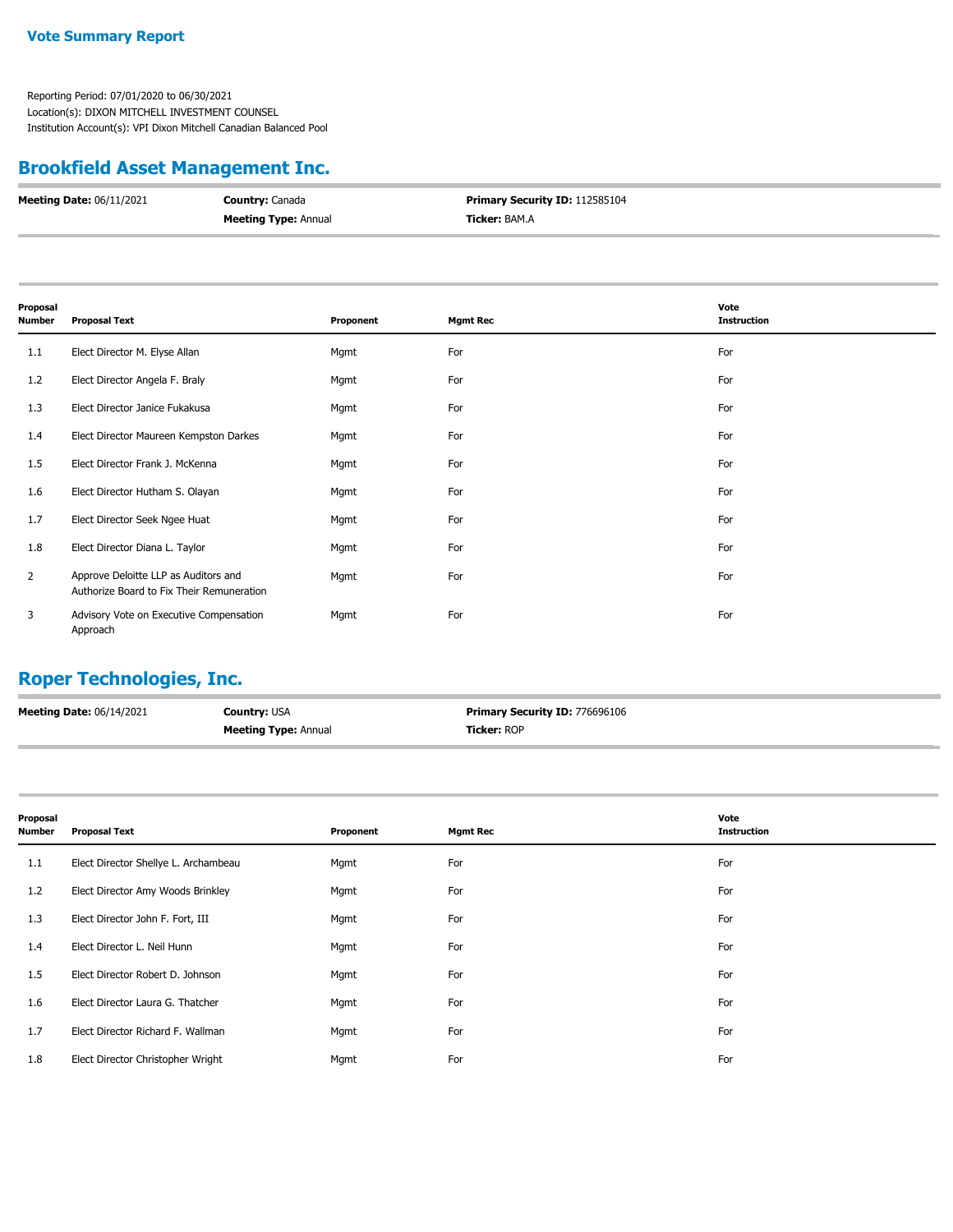#### **Vote Summary Report**

Reporting Period: 07/01/2020 to 06/30/2021 Location(s): DIXON MITCHELL INVESTMENT COUNSEL Institution Account(s): VPI Dixon Mitchell Canadian Balanced Pool

### **Brookfield Asset Management Inc.**

| <b>Meeting Date: 06/11/2021</b> | <b>Country: Canada</b>      | <b>Primary Security ID: 112585104</b> |
|---------------------------------|-----------------------------|---------------------------------------|
|                                 | <b>Meeting Type: Annual</b> | <b>Ticker:</b> BAM.A                  |

| Proposal<br><b>Number</b> | <b>Proposal Text</b>                                                              | Proponent | <b>Mgmt Rec</b> | Vote<br><b>Instruction</b> |
|---------------------------|-----------------------------------------------------------------------------------|-----------|-----------------|----------------------------|
| 1.1                       | Elect Director M. Elyse Allan                                                     | Mgmt      | For             | For                        |
| 1.2                       | Elect Director Angela F. Braly                                                    | Mgmt      | For             | For                        |
| 1.3                       | Elect Director Janice Fukakusa                                                    | Mgmt      | For             | For                        |
| 1.4                       | Elect Director Maureen Kempston Darkes                                            | Mgmt      | For             | For                        |
| 1.5                       | Elect Director Frank J. McKenna                                                   | Mgmt      | For             | For                        |
| 1.6                       | Elect Director Hutham S. Olayan                                                   | Mgmt      | For             | For                        |
| 1.7                       | Elect Director Seek Ngee Huat                                                     | Mgmt      | For             | For                        |
| 1.8                       | Elect Director Diana L. Taylor                                                    | Mgmt      | For             | For                        |
| 2                         | Approve Deloitte LLP as Auditors and<br>Authorize Board to Fix Their Remuneration | Mgmt      | For             | For                        |
| 3                         | Advisory Vote on Executive Compensation<br>Approach                               | Mgmt      | For             | For                        |

# **Roper Technologies, Inc.**

| <b>Meeting Date: 06/14/2021</b> | <b>Country: USA</b>         | <b>Primary Security ID: 776696106</b> |
|---------------------------------|-----------------------------|---------------------------------------|
|                                 | <b>Meeting Type: Annual</b> | <b>Ticker: ROP</b>                    |

| Proposal<br><b>Number</b> | <b>Proposal Text</b>                 | Proponent | <b>Mgmt Rec</b> | Vote<br><b>Instruction</b> |
|---------------------------|--------------------------------------|-----------|-----------------|----------------------------|
| 1.1                       | Elect Director Shellye L. Archambeau | Mgmt      | For             | For                        |
| 1.2                       | Elect Director Amy Woods Brinkley    | Mgmt      | For             | For                        |
| 1.3                       | Elect Director John F. Fort, III     | Mgmt      | For             | For                        |
| 1.4                       | Elect Director L. Neil Hunn          | Mgmt      | For             | For                        |
| 1.5                       | Elect Director Robert D. Johnson     | Mgmt      | For             | For                        |
| 1.6                       | Elect Director Laura G. Thatcher     | Mgmt      | For             | For                        |
| 1.7                       | Elect Director Richard F. Wallman    | Mgmt      | For             | For                        |
| 1.8                       | Elect Director Christopher Wright    | Mgmt      | For             | For                        |